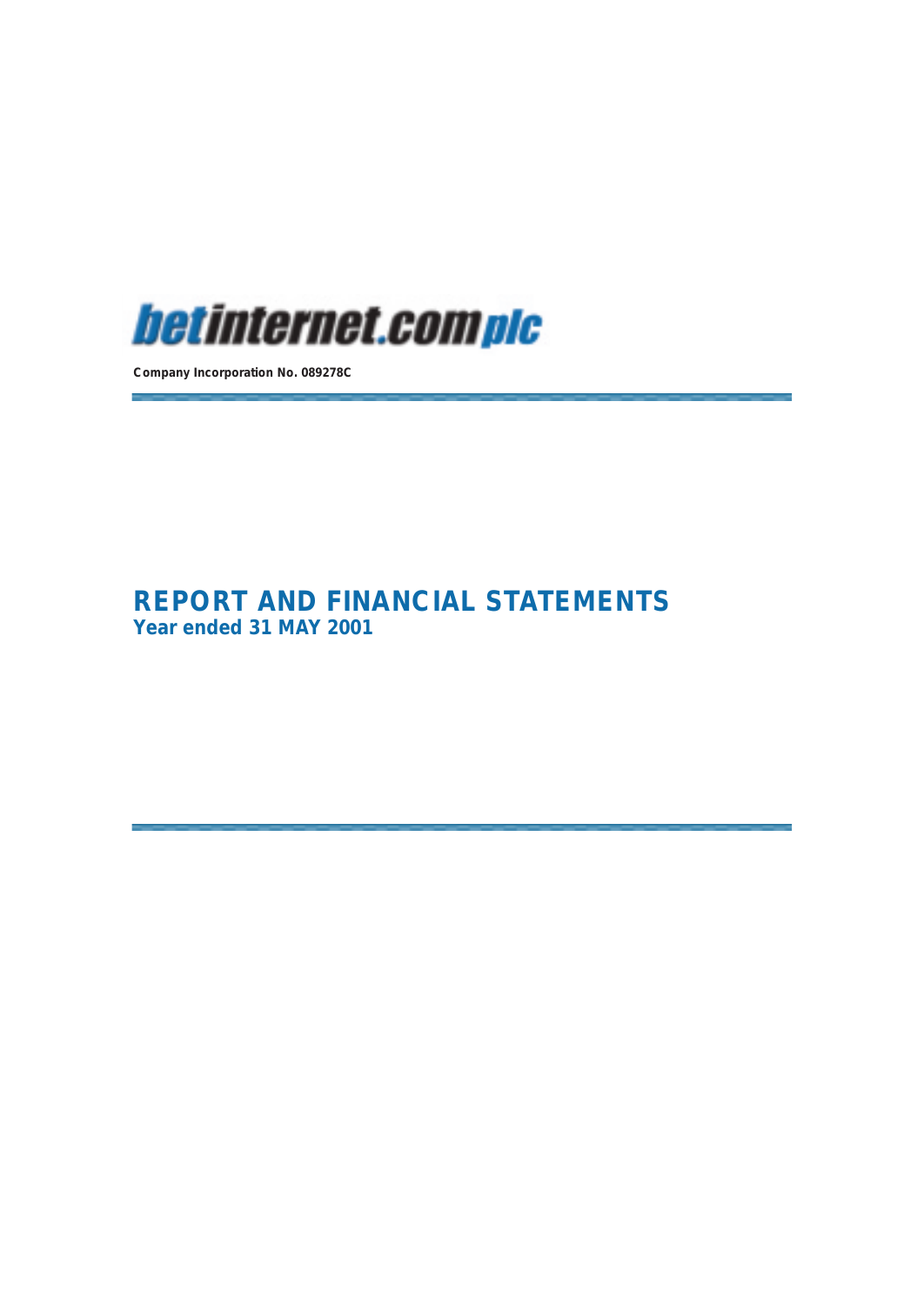

**Company Incorporation No. 089278C**

**REPORT AND FINANCIAL STATEMENTS Year ended 31 MAY 2001**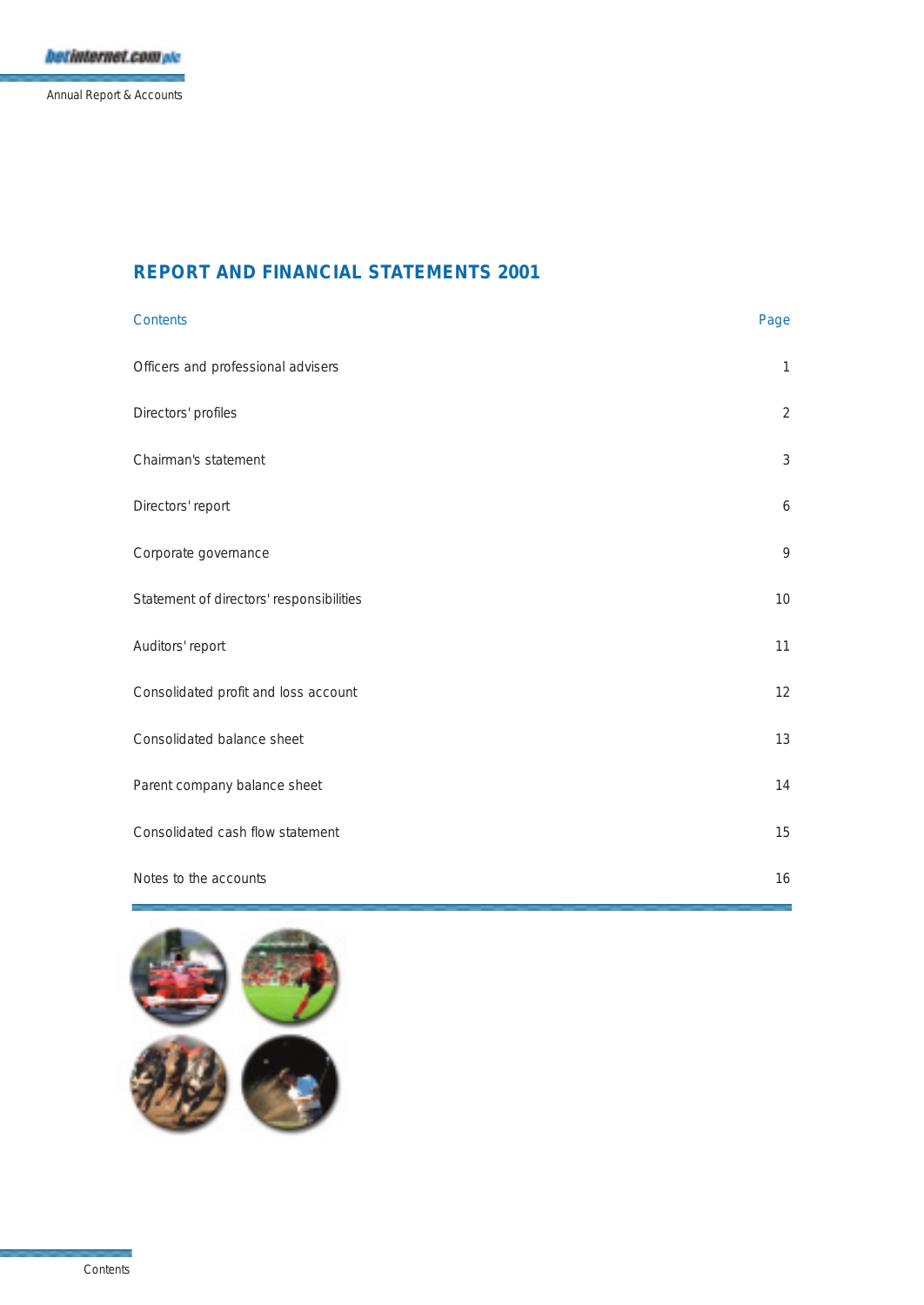Annual Report & Accounts

## **REPORT AND FINANCIAL STATEMENTS 2001**

| Contents                                 | Page           |
|------------------------------------------|----------------|
| Officers and professional advisers       | $\mathbf{1}$   |
| Directors' profiles                      | $\overline{2}$ |
| Chairman's statement                     | $\mathfrak{Z}$ |
| Directors' report                        | 6              |
| Corporate governance                     | $\mathcal{Q}$  |
| Statement of directors' responsibilities | 10             |
| Auditors' report                         | 11             |
| Consolidated profit and loss account     | 12             |
| Consolidated balance sheet               | 13             |
| Parent company balance sheet             | 14             |
| Consolidated cash flow statement         | 15             |
| Notes to the accounts                    | 16             |

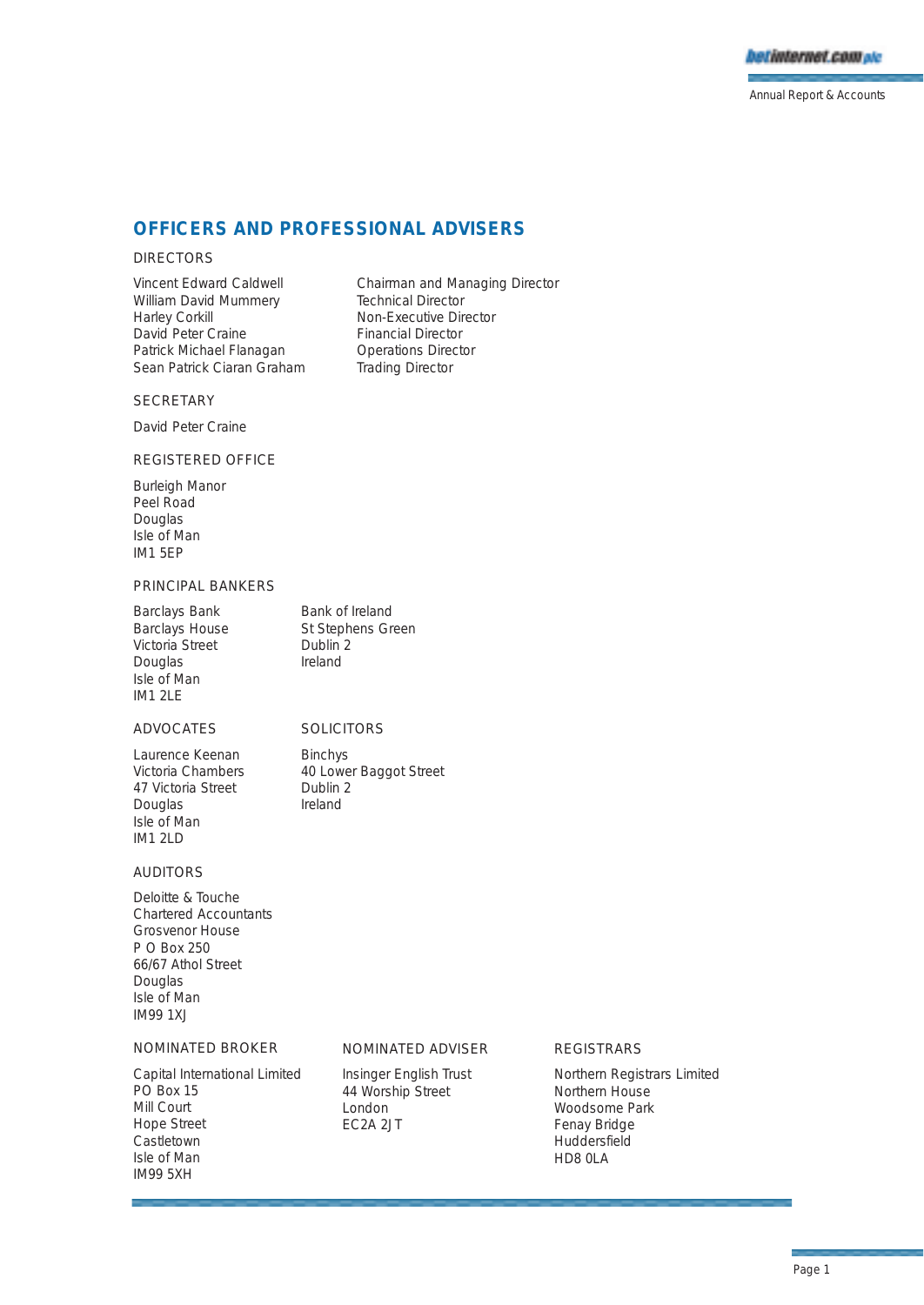

Annual Report & Accounts

## **OFFICERS AND PROFESSIONAL ADVISERS**

### DIRECTORS

William David Mummery Technical Director Harley Corkill **Non-Executive Director**<br>
David Peter Craine **Non-Executive Director** David Peter Craine<br>
Patrick Michael Flanagan<br>
Patrick Michael Flanagan<br>
Operations Director Patrick Michael Flanagan **Operations Director**<br>
Sean Patrick Ciaran Graham Trading Director Sean Patrick Ciaran Graham

Vincent Edward Caldwell Chairman and Managing Director

## **SECRETARY**

David Peter Craine

## REGISTERED OFFICE

Burleigh Manor Peel Road Douglas Isle of Man IM1 5EP

### PRINCIPAL BANKERS

Barclays Bank Bank of Ireland<br>Barclays House St Stephens Gr Victoria Street Dublin<br>Douglas Douglas Ireland Douglas Isle of Man IM1 2LE

St Stephens Green<br>Dublin 2

## ADVOCATES SOLICITORS

Laurence Keenan Binchys Victoria Chambers 40 Lower Baggot Street<br>47 Victoria Street - Dublin 2 47 Victoria Street Douglas Ireland Isle of Man IM1 2LD

### AUDITORS

Deloitte & Touche Chartered Accountants Grosvenor House P O Box 250 66/67 Athol Street Douglas Isle of Man IM99 1XJ

### NOMINATED BROKER

Capital International Limited PO Box 15 Mill Court Hope Street Castletown Isle of Man IM99 5XH

## NOMINATED ADVISER

Insinger English Trust 44 Worship Street London EC2A 2JT

### REGISTRARS

Northern Registrars Limited Northern House Woodsome Park Fenay Bridge **Huddersfield** HD8 0LA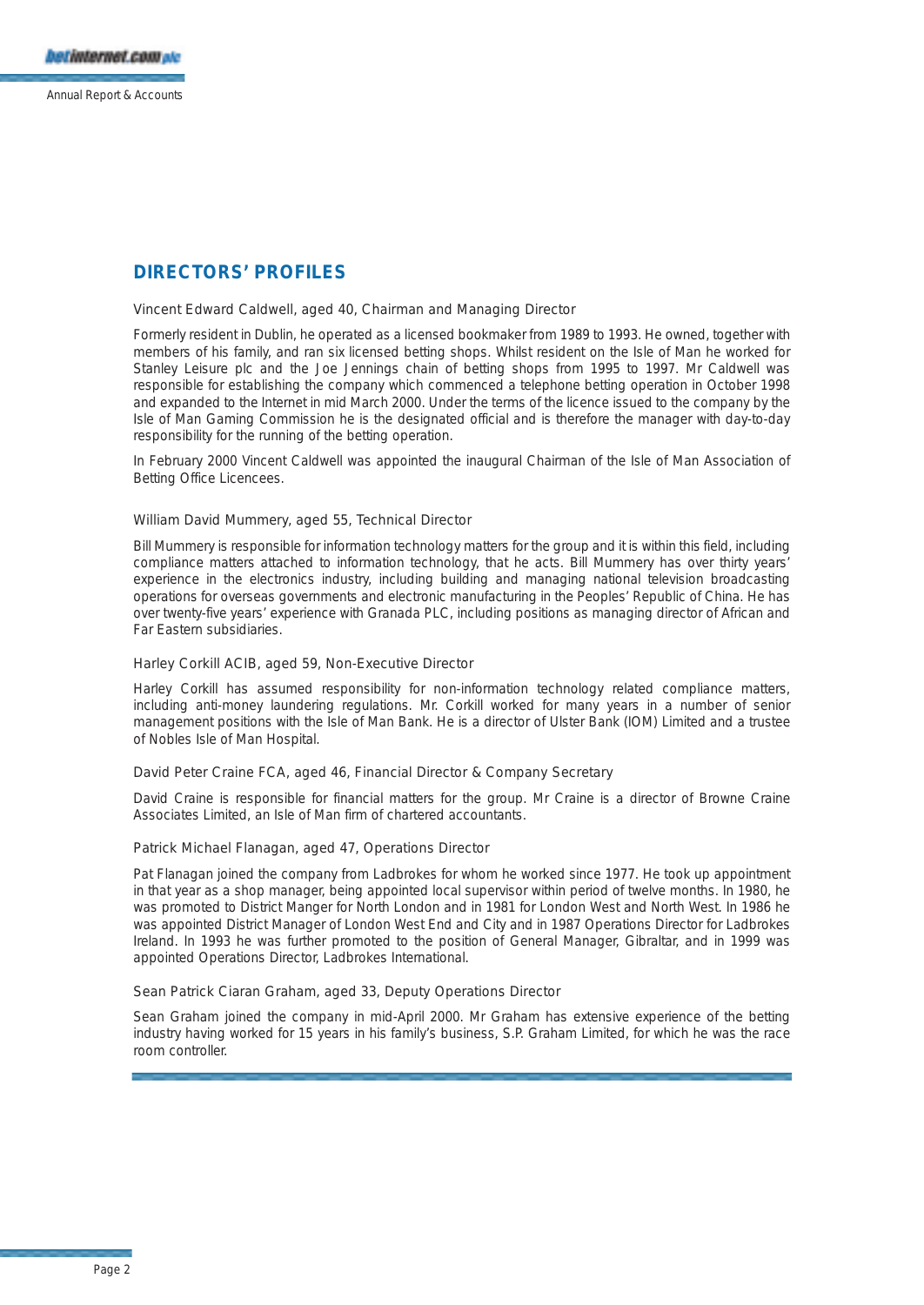## **DIRECTORS' PROFILES**

### Vincent Edward Caldwell, aged 40, Chairman and Managing Director

Formerly resident in Dublin, he operated as a licensed bookmaker from 1989 to 1993. He owned, together with members of his family, and ran six licensed betting shops. Whilst resident on the Isle of Man he worked for Stanley Leisure plc and the Joe Jennings chain of betting shops from 1995 to 1997. Mr Caldwell was responsible for establishing the company which commenced a telephone betting operation in October 1998 and expanded to the Internet in mid March 2000. Under the terms of the licence issued to the company by the Isle of Man Gaming Commission he is the designated official and is therefore the manager with day-to-day responsibility for the running of the betting operation.

In February 2000 Vincent Caldwell was appointed the inaugural Chairman of the Isle of Man Association of Betting Office Licencees.

### William David Mummery, aged 55, Technical Director

Bill Mummery is responsible for information technology matters for the group and it is within this field, including compliance matters attached to information technology, that he acts. Bill Mummery has over thirty years' experience in the electronics industry, including building and managing national television broadcasting operations for overseas governments and electronic manufacturing in the Peoples' Republic of China. He has over twenty-five years' experience with Granada PLC, including positions as managing director of African and Far Eastern subsidiaries.

### Harley Corkill ACIB, aged 59, Non-Executive Director

Harley Corkill has assumed responsibility for non-information technology related compliance matters, including anti-money laundering regulations. Mr. Corkill worked for many years in a number of senior management positions with the Isle of Man Bank. He is a director of Ulster Bank (IOM) Limited and a trustee of Nobles Isle of Man Hospital.

### David Peter Craine FCA, aged 46, Financial Director & Company Secretary

David Craine is responsible for financial matters for the group. Mr Craine is a director of Browne Craine Associates Limited, an Isle of Man firm of chartered accountants.

### Patrick Michael Flanagan, aged 47, Operations Director

Pat Flanagan joined the company from Ladbrokes for whom he worked since 1977. He took up appointment in that year as a shop manager, being appointed local supervisor within period of twelve months. In 1980, he was promoted to District Manger for North London and in 1981 for London West and North West. In 1986 he was appointed District Manager of London West End and City and in 1987 Operations Director for Ladbrokes Ireland. In 1993 he was further promoted to the position of General Manager, Gibraltar, and in 1999 was appointed Operations Director, Ladbrokes International.

#### Sean Patrick Ciaran Graham, aged 33, Deputy Operations Director

Sean Graham joined the company in mid-April 2000. Mr Graham has extensive experience of the betting industry having worked for 15 years in his family's business, S.P. Graham Limited, for which he was the race room controller.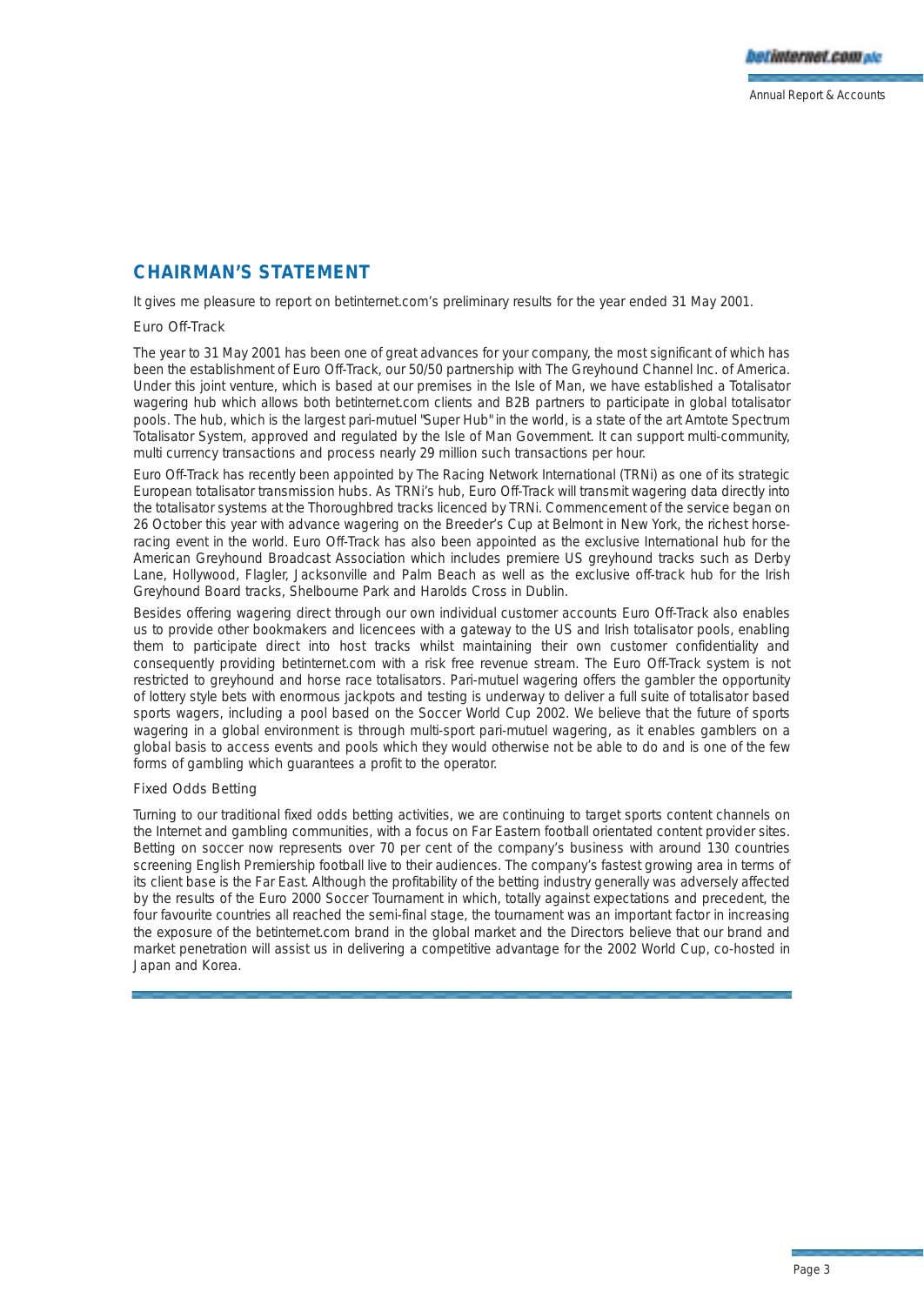## **CHAIRMAN'S STATEMENT**

It gives me pleasure to report on betinternet.com's preliminary results for the year ended 31 May 2001.

## Euro Off-Track

The year to 31 May 2001 has been one of great advances for your company, the most significant of which has been the establishment of Euro Off-Track, our 50/50 partnership with The Greyhound Channel Inc. of America. Under this joint venture, which is based at our premises in the Isle of Man, we have established a Totalisator wagering hub which allows both betinternet.com clients and B2B partners to participate in global totalisator pools. The hub, which is the largest pari-mutuel "Super Hub" in the world, is a state of the art Amtote Spectrum Totalisator System, approved and regulated by the Isle of Man Government. It can support multi-community, multi currency transactions and process nearly 29 million such transactions per hour.

Euro Off-Track has recently been appointed by The Racing Network International (TRNi) as one of its strategic European totalisator transmission hubs. As TRNi's hub, Euro Off-Track will transmit wagering data directly into the totalisator systems at the Thoroughbred tracks licenced by TRNi. Commencement of the service began on 26 October this year with advance wagering on the Breeder's Cup at Belmont in New York, the richest horseracing event in the world. Euro Off-Track has also been appointed as the exclusive International hub for the American Greyhound Broadcast Association which includes premiere US greyhound tracks such as Derby Lane, Hollywood, Flagler, Jacksonville and Palm Beach as well as the exclusive off-track hub for the Irish Greyhound Board tracks, Shelbourne Park and Harolds Cross in Dublin.

Besides offering wagering direct through our own individual customer accounts Euro Off-Track also enables us to provide other bookmakers and licencees with a gateway to the US and Irish totalisator pools, enabling them to participate direct into host tracks whilst maintaining their own customer confidentiality and consequently providing betinternet.com with a risk free revenue stream. The Euro Off-Track system is not restricted to greyhound and horse race totalisators. Pari-mutuel wagering offers the gambler the opportunity of lottery style bets with enormous jackpots and testing is underway to deliver a full suite of totalisator based sports wagers, including a pool based on the Soccer World Cup 2002. We believe that the future of sports wagering in a global environment is through multi-sport pari-mutuel wagering, as it enables gamblers on a global basis to access events and pools which they would otherwise not be able to do and is one of the few forms of gambling which guarantees a profit to the operator.

## Fixed Odds Betting

Turning to our traditional fixed odds betting activities, we are continuing to target sports content channels on the Internet and gambling communities, with a focus on Far Eastern football orientated content provider sites. Betting on soccer now represents over 70 per cent of the company's business with around 130 countries screening English Premiership football live to their audiences. The company's fastest growing area in terms of its client base is the Far East. Although the profitability of the betting industry generally was adversely affected by the results of the Euro 2000 Soccer Tournament in which, totally against expectations and precedent, the four favourite countries all reached the semi-final stage, the tournament was an important factor in increasing the exposure of the betinternet.com brand in the global market and the Directors believe that our brand and market penetration will assist us in delivering a competitive advantage for the 2002 World Cup, co-hosted in Japan and Korea.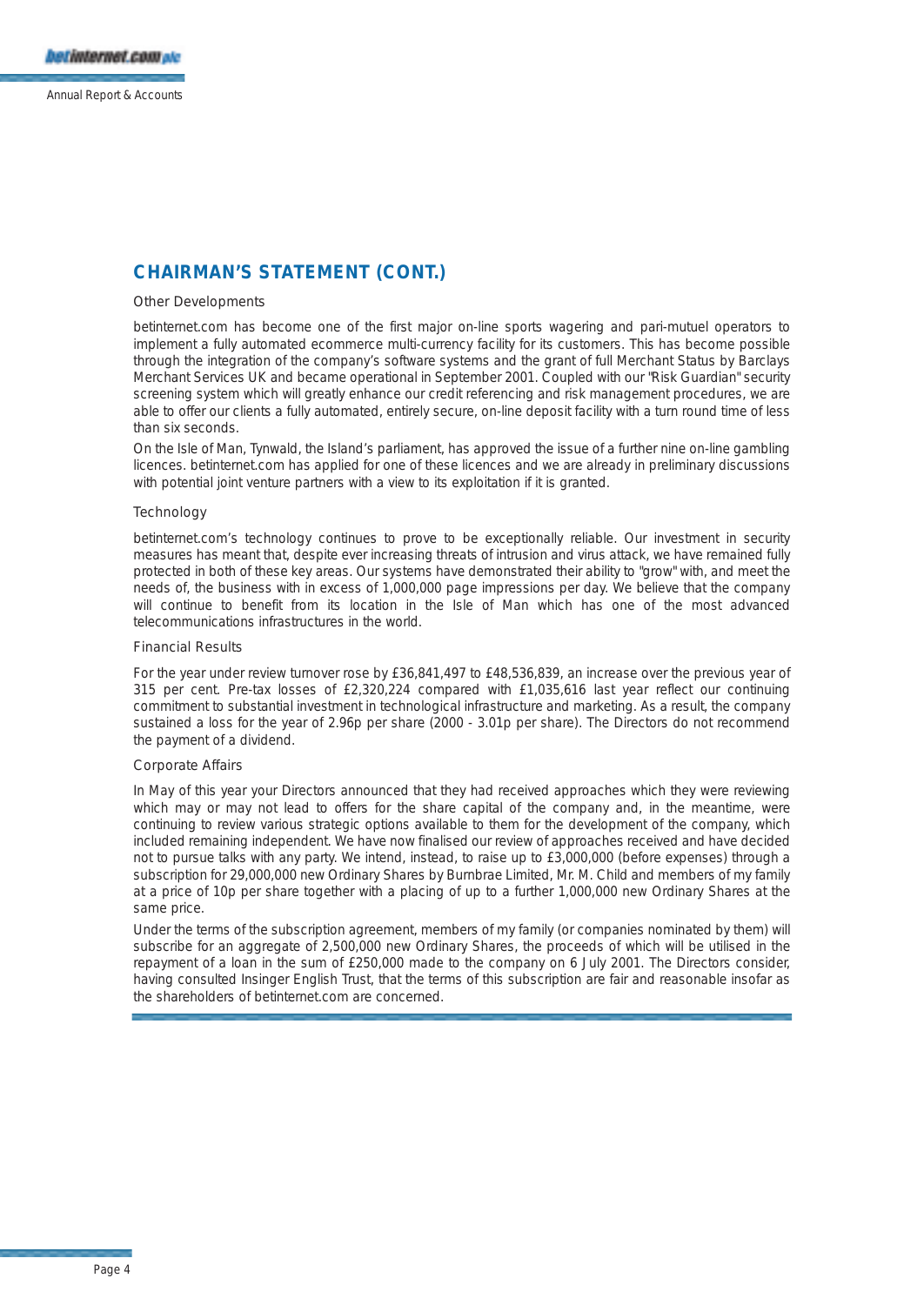## **CHAIRMAN'S STATEMENT (CONT.)**

#### Other Developments

betinternet.com has become one of the first major on-line sports wagering and pari-mutuel operators to implement a fully automated ecommerce multi-currency facility for its customers. This has become possible through the integration of the company's software systems and the grant of full Merchant Status by Barclays Merchant Services UK and became operational in September 2001. Coupled with our "Risk Guardian" security screening system which will greatly enhance our credit referencing and risk management procedures, we are able to offer our clients a fully automated, entirely secure, on-line deposit facility with a turn round time of less than six seconds.

On the Isle of Man, Tynwald, the Island's parliament, has approved the issue of a further nine on-line gambling licences. betinternet.com has applied for one of these licences and we are already in preliminary discussions with potential joint venture partners with a view to its exploitation if it is granted.

### **Technology**

betinternet.com's technology continues to prove to be exceptionally reliable. Our investment in security measures has meant that, despite ever increasing threats of intrusion and virus attack, we have remained fully protected in both of these key areas. Our systems have demonstrated their ability to "grow" with, and meet the needs of, the business with in excess of 1,000,000 page impressions per day. We believe that the company will continue to benefit from its location in the Isle of Man which has one of the most advanced telecommunications infrastructures in the world.

#### Financial Results

For the year under review turnover rose by £36,841,497 to £48,536,839, an increase over the previous year of 315 per cent. Pre-tax losses of £2,320,224 compared with £1,035,616 last year reflect our continuing commitment to substantial investment in technological infrastructure and marketing. As a result, the company sustained a loss for the year of 2.96p per share (2000 - 3.01p per share). The Directors do not recommend the payment of a dividend.

#### Corporate Affairs

In May of this year your Directors announced that they had received approaches which they were reviewing which may or may not lead to offers for the share capital of the company and, in the meantime, were continuing to review various strategic options available to them for the development of the company, which included remaining independent. We have now finalised our review of approaches received and have decided not to pursue talks with any party. We intend, instead, to raise up to £3,000,000 (before expenses) through a subscription for 29,000,000 new Ordinary Shares by Burnbrae Limited, Mr. M. Child and members of my family at a price of 10p per share together with a placing of up to a further 1,000,000 new Ordinary Shares at the same price.

Under the terms of the subscription agreement, members of my family (or companies nominated by them) will subscribe for an aggregate of 2,500,000 new Ordinary Shares, the proceeds of which will be utilised in the repayment of a loan in the sum of £250,000 made to the company on 6 July 2001. The Directors consider, having consulted Insinger English Trust, that the terms of this subscription are fair and reasonable insofar as the shareholders of betinternet.com are concerned.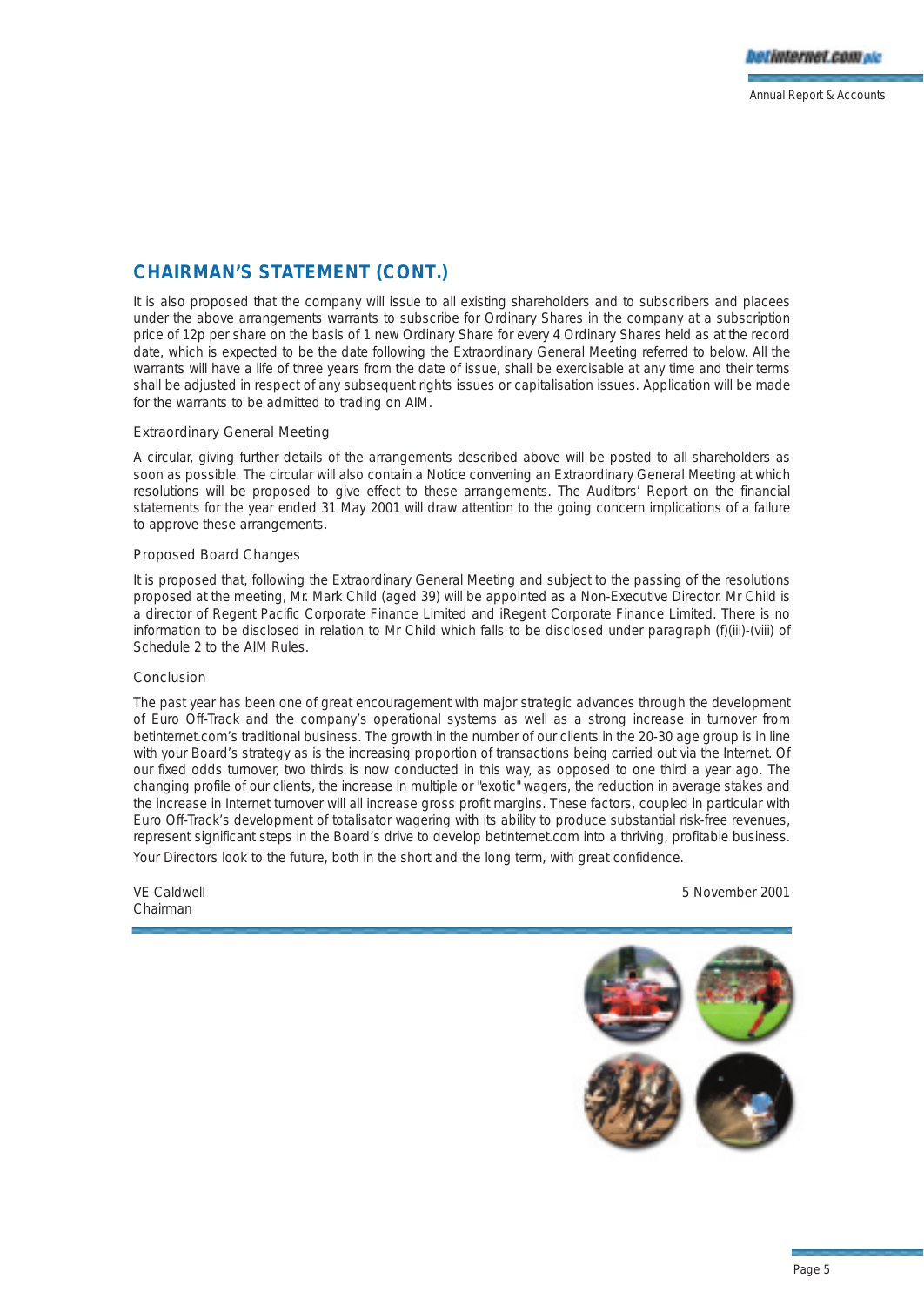## **CHAIRMAN'S STATEMENT (CONT.)**

It is also proposed that the company will issue to all existing shareholders and to subscribers and placees under the above arrangements warrants to subscribe for Ordinary Shares in the company at a subscription price of 12p per share on the basis of 1 new Ordinary Share for every 4 Ordinary Shares held as at the record date, which is expected to be the date following the Extraordinary General Meeting referred to below. All the warrants will have a life of three years from the date of issue, shall be exercisable at any time and their terms shall be adjusted in respect of any subsequent rights issues or capitalisation issues. Application will be made for the warrants to be admitted to trading on AIM.

## Extraordinary General Meeting

A circular, giving further details of the arrangements described above will be posted to all shareholders as soon as possible. The circular will also contain a Notice convening an Extraordinary General Meeting at which resolutions will be proposed to give effect to these arrangements. The Auditors' Report on the financial statements for the year ended 31 May 2001 will draw attention to the going concern implications of a failure to approve these arrangements.

## Proposed Board Changes

It is proposed that, following the Extraordinary General Meeting and subject to the passing of the resolutions proposed at the meeting, Mr. Mark Child (aged 39) will be appointed as a Non-Executive Director. Mr Child is a director of Regent Pacific Corporate Finance Limited and iRegent Corporate Finance Limited. There is no information to be disclosed in relation to Mr Child which falls to be disclosed under paragraph (f)(iii)-(viii) of Schedule 2 to the AIM Rules.

### Conclusion

The past year has been one of great encouragement with major strategic advances through the development of Euro Off-Track and the company's operational systems as well as a strong increase in turnover from betinternet.com's traditional business. The growth in the number of our clients in the 20-30 age group is in line with your Board's strategy as is the increasing proportion of transactions being carried out via the Internet. Of our fixed odds turnover, two thirds is now conducted in this way, as opposed to one third a year ago. The changing profile of our clients, the increase in multiple or "exotic" wagers, the reduction in average stakes and the increase in Internet turnover will all increase gross profit margins. These factors, coupled in particular with Euro Off-Track's development of totalisator wagering with its ability to produce substantial risk-free revenues, represent significant steps in the Board's drive to develop betinternet.com into a thriving, profitable business. Your Directors look to the future, both in the short and the long term, with great confidence.

Chairman

VE Caldwell 5 November 2001

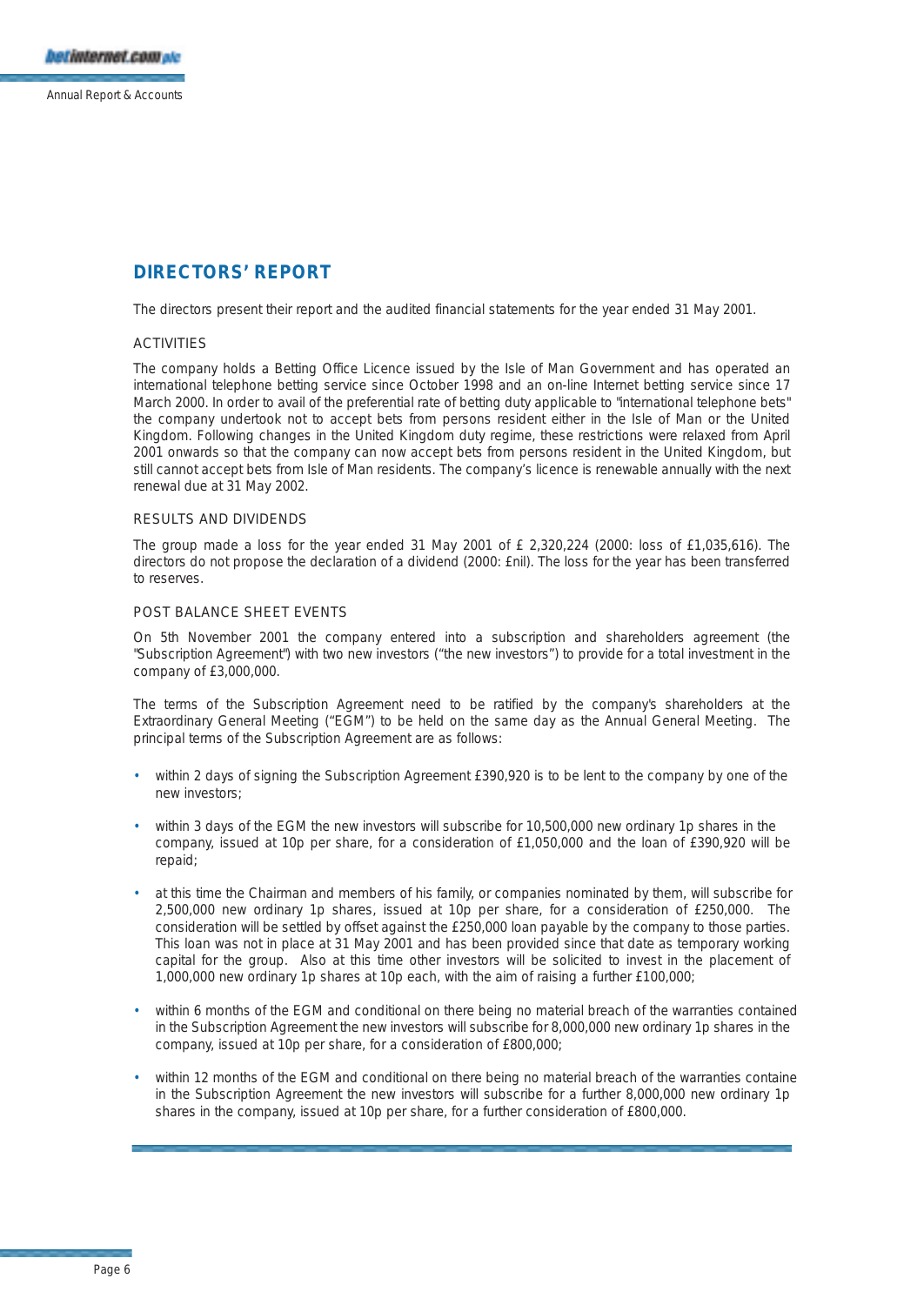## **DIRECTORS' REPORT**

The directors present their report and the audited financial statements for the year ended 31 May 2001.

## ACTIVITIES

The company holds a Betting Office Licence issued by the Isle of Man Government and has operated an international telephone betting service since October 1998 and an on-line Internet betting service since 17 March 2000. In order to avail of the preferential rate of betting duty applicable to "international telephone bets" the company undertook not to accept bets from persons resident either in the Isle of Man or the United Kingdom. Following changes in the United Kingdom duty regime, these restrictions were relaxed from April 2001 onwards so that the company can now accept bets from persons resident in the United Kingdom, but still cannot accept bets from Isle of Man residents. The company's licence is renewable annually with the next renewal due at 31 May 2002.

### RESULTS AND DIVIDENDS

The group made a loss for the year ended 31 May 2001 of  $E$  2,320,224 (2000: loss of £1,035,616). The directors do not propose the declaration of a dividend (2000: £nil). The loss for the year has been transferred to reserves.

### POST BALANCE SHEET EVENTS

On 5th November 2001 the company entered into a subscription and shareholders agreement (the "Subscription Agreement") with two new investors ("the new investors") to provide for a total investment in the company of £3,000,000.

The terms of the Subscription Agreement need to be ratified by the company's shareholders at the Extraordinary General Meeting ("EGM") to be held on the same day as the Annual General Meeting. The principal terms of the Subscription Agreement are as follows:

- within 2 days of signing the Subscription Agreement £390,920 is to be lent to the company by one of the new investors;
- within 3 days of the EGM the new investors will subscribe for 10,500,000 new ordinary 1p shares in the company, issued at 10p per share, for a consideration of £1,050,000 and the loan of £390,920 will be repaid;
- at this time the Chairman and members of his family, or companies nominated by them, will subscribe for 2,500,000 new ordinary 1p shares, issued at 10p per share, for a consideration of £250,000. The consideration will be settled by offset against the £250,000 loan payable by the company to those parties. This loan was not in place at 31 May 2001 and has been provided since that date as temporary working capital for the group. Also at this time other investors will be solicited to invest in the placement of 1,000,000 new ordinary 1p shares at 10p each, with the aim of raising a further £100,000;
- within 6 months of the EGM and conditional on there being no material breach of the warranties contained in the Subscription Agreement the new investors will subscribe for 8,000,000 new ordinary 1p shares in the company, issued at 10p per share, for a consideration of £800,000;
- within 12 months of the EGM and conditional on there being no material breach of the warranties containe in the Subscription Agreement the new investors will subscribe for a further 8,000,000 new ordinary 1p shares in the company, issued at 10p per share, for a further consideration of £800,000.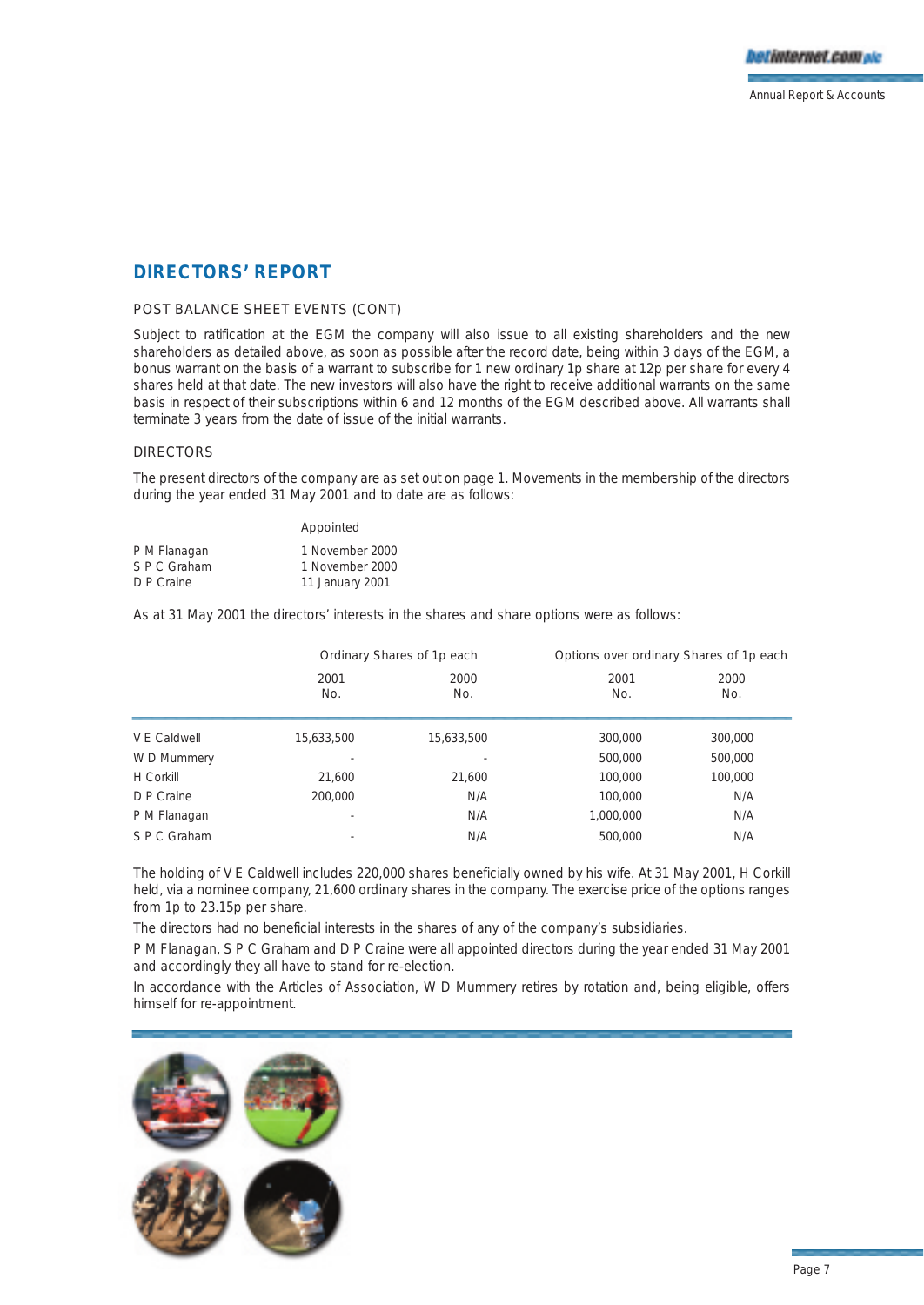

## **DIRECTORS' REPORT**

## POST BALANCE SHEET EVENTS (CONT)

Subject to ratification at the EGM the company will also issue to all existing shareholders and the new shareholders as detailed above, as soon as possible after the record date, being within 3 days of the EGM, a bonus warrant on the basis of a warrant to subscribe for 1 new ordinary 1p share at 12p per share for every 4 shares held at that date. The new investors will also have the right to receive additional warrants on the same basis in respect of their subscriptions within 6 and 12 months of the EGM described above. All warrants shall terminate 3 years from the date of issue of the initial warrants.

### DIRECTORS

The present directors of the company are as set out on page 1. Movements in the membership of the directors during the year ended 31 May 2001 and to date are as follows:

|              | Appointed       |
|--------------|-----------------|
| P M Flanagan | 1 November 2000 |
| S P C Graham | 1 November 2000 |
| D P Craine   | 11 January 2001 |

As at 31 May 2001 the directors' interests in the shares and share options were as follows:

|              |             | Ordinary Shares of 1p each |             | Options over ordinary Shares of 1p each |  |
|--------------|-------------|----------------------------|-------------|-----------------------------------------|--|
|              | 2001<br>No. | 2000<br>No.                | 2001<br>No. | 2000<br>No.                             |  |
| V F Caldwell | 15,633,500  | 15,633,500                 | 300,000     | 300,000                                 |  |
| W D Mummery  | ٠           |                            | 500,000     | 500,000                                 |  |
| H Corkill    | 21,600      | 21,600                     | 100,000     | 100,000                                 |  |
| D P Craine   | 200,000     | N/A                        | 100,000     | N/A                                     |  |
| P M Flanagan | ٠           | N/A                        | 1,000,000   | N/A                                     |  |
| S P C Graham | ٠           | N/A                        | 500,000     | N/A                                     |  |

The holding of V E Caldwell includes 220,000 shares beneficially owned by his wife. At 31 May 2001, H Corkill held, via a nominee company, 21,600 ordinary shares in the company. The exercise price of the options ranges from 1p to 23.15p per share.

The directors had no beneficial interests in the shares of any of the company's subsidiaries.

P M Flanagan, S P C Graham and D P Craine were all appointed directors during the year ended 31 May 2001 and accordingly they all have to stand for re-election.

In accordance with the Articles of Association, W D Mummery retires by rotation and, being eligible, offers himself for re-appointment.

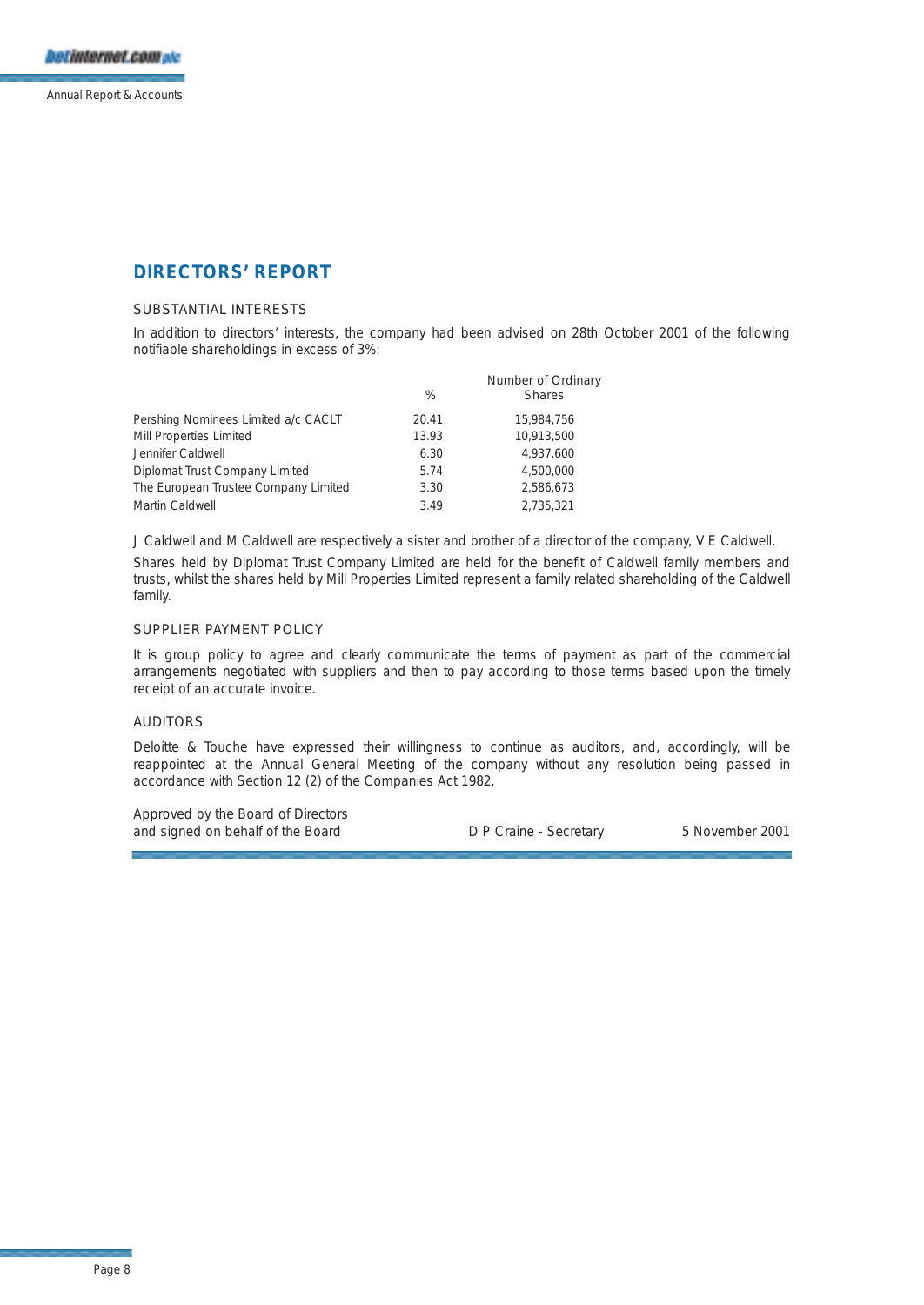## **DIRECTORS' REPORT**

## SUBSTANTIAL INTERESTS

In addition to directors' interests, the company had been advised on 28th October 2001 of the following notifiable shareholdings in excess of 3%:

|                                      | %     | Number of Ordinary<br><b>Shares</b> |
|--------------------------------------|-------|-------------------------------------|
| Pershing Nominees Limited a/c CACLT  | 20.41 | 15,984,756                          |
| Mill Properties Limited              | 13.93 | 10.913.500                          |
| Jennifer Caldwell                    | 6.30  | 4.937.600                           |
| Diplomat Trust Company Limited       | 5.74  | 4,500,000                           |
| The European Trustee Company Limited | 3.30  | 2.586.673                           |
| Martin Caldwell                      | 3.49  | 2.735.321                           |

J Caldwell and M Caldwell are respectively a sister and brother of a director of the company, V E Caldwell. Shares held by Diplomat Trust Company Limited are held for the benefit of Caldwell family members and trusts, whilst the shares held by Mill Properties Limited represent a family related shareholding of the Caldwell family.

## SUPPLIER PAYMENT POLICY

It is group policy to agree and clearly communicate the terms of payment as part of the commercial arrangements negotiated with suppliers and then to pay according to those terms based upon the timely receipt of an accurate invoice.

### AUDITORS

Deloitte & Touche have expressed their willingness to continue as auditors, and, accordingly, will be reappointed at the Annual General Meeting of the company without any resolution being passed in accordance with Section 12 (2) of the Companies Act 1982.

Approved by the Board of Directors and signed on behalf of the Board D P Craine - Secretary 5 November 2001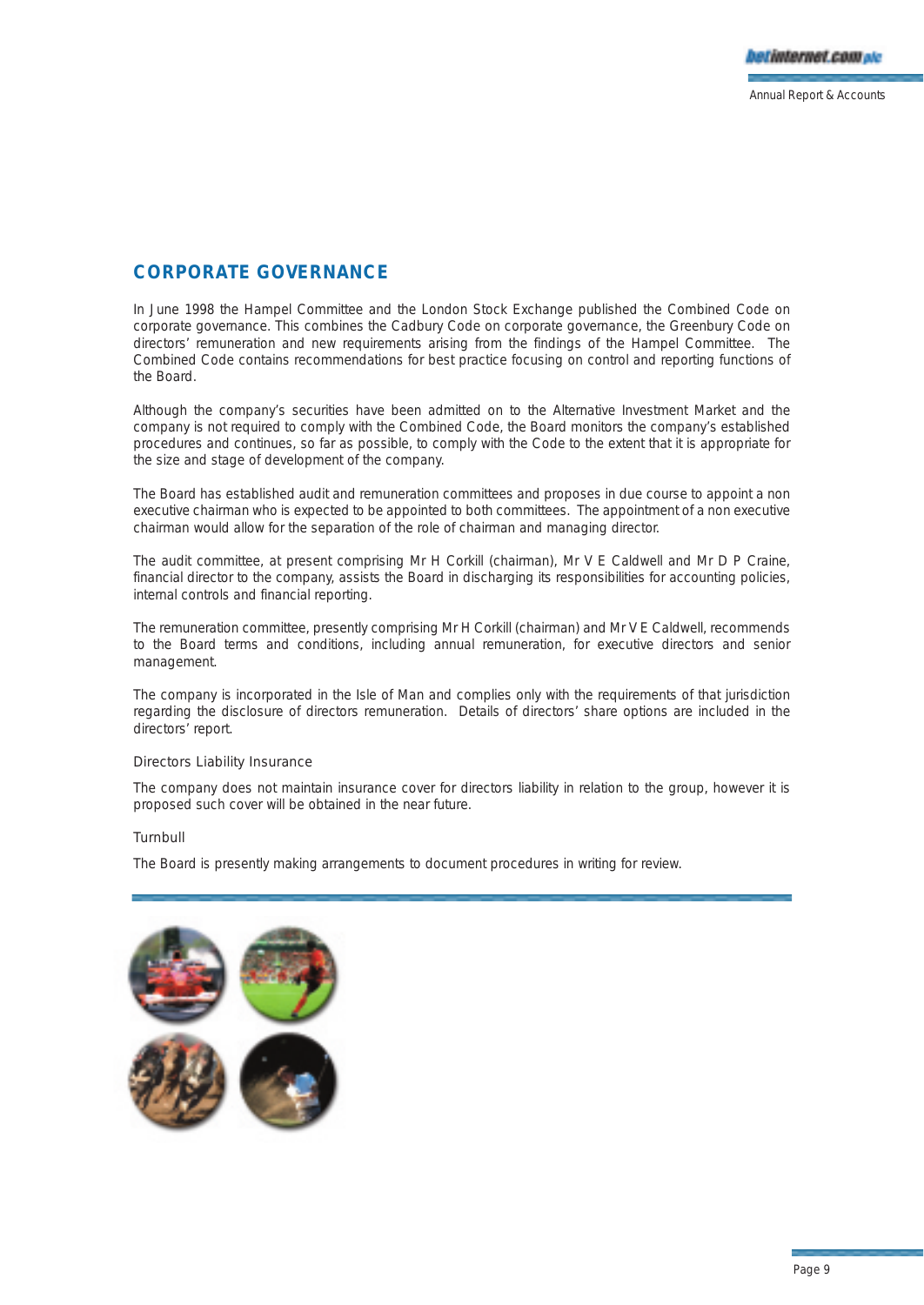## **CORPORATE GOVERNANCE**

In June 1998 the Hampel Committee and the London Stock Exchange published the Combined Code on corporate governance. This combines the Cadbury Code on corporate governance, the Greenbury Code on directors' remuneration and new requirements arising from the findings of the Hampel Committee. The Combined Code contains recommendations for best practice focusing on control and reporting functions of the Board.

Although the company's securities have been admitted on to the Alternative Investment Market and the company is not required to comply with the Combined Code, the Board monitors the company's established procedures and continues, so far as possible, to comply with the Code to the extent that it is appropriate for the size and stage of development of the company.

The Board has established audit and remuneration committees and proposes in due course to appoint a non executive chairman who is expected to be appointed to both committees. The appointment of a non executive chairman would allow for the separation of the role of chairman and managing director.

The audit committee, at present comprising Mr H Corkill (chairman), Mr V E Caldwell and Mr D P Craine, financial director to the company, assists the Board in discharging its responsibilities for accounting policies, internal controls and financial reporting.

The remuneration committee, presently comprising Mr H Corkill (chairman) and Mr V E Caldwell, recommends to the Board terms and conditions, including annual remuneration, for executive directors and senior management.

The company is incorporated in the Isle of Man and complies only with the requirements of that jurisdiction regarding the disclosure of directors remuneration. Details of directors' share options are included in the directors' report.

## Directors Liability Insurance

The company does not maintain insurance cover for directors liability in relation to the group, however it is proposed such cover will be obtained in the near future.

## Turnbull

The Board is presently making arrangements to document procedures in writing for review.

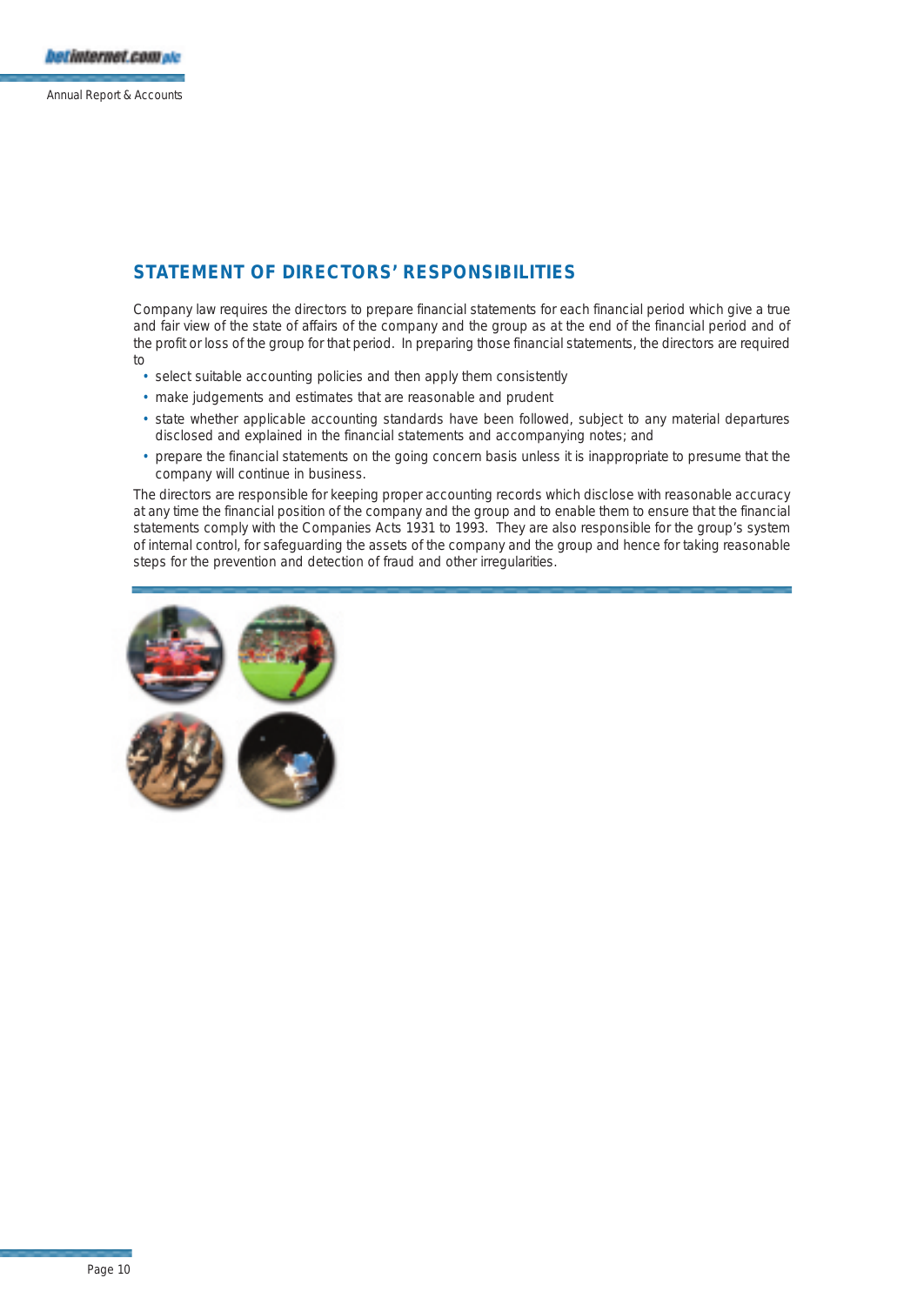## **STATEMENT OF DIRECTORS' RESPONSIBILITIES**

Company law requires the directors to prepare financial statements for each financial period which give a true and fair view of the state of affairs of the company and the group as at the end of the financial period and of the profit or loss of the group for that period. In preparing those financial statements, the directors are required to

- select suitable accounting policies and then apply them consistently
- make judgements and estimates that are reasonable and prudent
- state whether applicable accounting standards have been followed, subject to any material departures disclosed and explained in the financial statements and accompanying notes; and
- prepare the financial statements on the going concern basis unless it is inappropriate to presume that the company will continue in business.

The directors are responsible for keeping proper accounting records which disclose with reasonable accuracy at any time the financial position of the company and the group and to enable them to ensure that the financial statements comply with the Companies Acts 1931 to 1993. They are also responsible for the group's system of internal control, for safeguarding the assets of the company and the group and hence for taking reasonable steps for the prevention and detection of fraud and other irregularities.

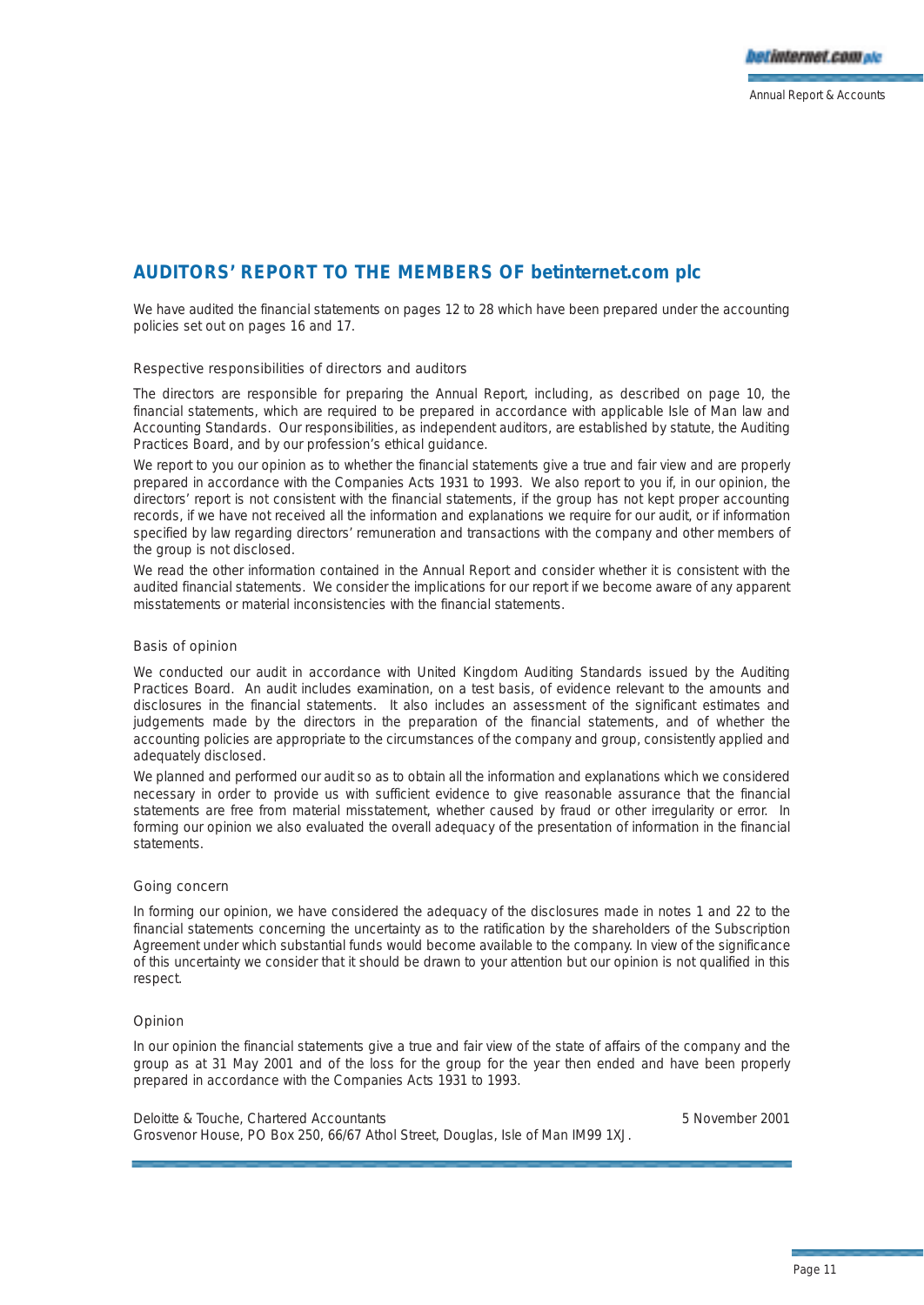## **AUDITORS' REPORT TO THE MEMBERS OF betinternet.com plc**

We have audited the financial statements on pages 12 to 28 which have been prepared under the accounting policies set out on pages 16 and 17.

### Respective responsibilities of directors and auditors

The directors are responsible for preparing the Annual Report, including, as described on page 10, the financial statements, which are required to be prepared in accordance with applicable Isle of Man law and Accounting Standards. Our responsibilities, as independent auditors, are established by statute, the Auditing Practices Board, and by our profession's ethical guidance.

We report to you our opinion as to whether the financial statements give a true and fair view and are properly prepared in accordance with the Companies Acts 1931 to 1993. We also report to you if, in our opinion, the directors' report is not consistent with the financial statements, if the group has not kept proper accounting records, if we have not received all the information and explanations we require for our audit, or if information specified by law regarding directors' remuneration and transactions with the company and other members of the group is not disclosed.

We read the other information contained in the Annual Report and consider whether it is consistent with the audited financial statements. We consider the implications for our report if we become aware of any apparent misstatements or material inconsistencies with the financial statements.

## Basis of opinion

We conducted our audit in accordance with United Kingdom Auditing Standards issued by the Auditing Practices Board. An audit includes examination, on a test basis, of evidence relevant to the amounts and disclosures in the financial statements. It also includes an assessment of the significant estimates and judgements made by the directors in the preparation of the financial statements, and of whether the accounting policies are appropriate to the circumstances of the company and group, consistently applied and adequately disclosed.

We planned and performed our audit so as to obtain all the information and explanations which we considered necessary in order to provide us with sufficient evidence to give reasonable assurance that the financial statements are free from material misstatement, whether caused by fraud or other irregularity or error. In forming our opinion we also evaluated the overall adequacy of the presentation of information in the financial statements.

### Going concern

In forming our opinion, we have considered the adequacy of the disclosures made in notes 1 and 22 to the financial statements concerning the uncertainty as to the ratification by the shareholders of the Subscription Agreement under which substantial funds would become available to the company. In view of the significance of this uncertainty we consider that it should be drawn to your attention but our opinion is not qualified in this respect.

## Opinion

In our opinion the financial statements give a true and fair view of the state of affairs of the company and the group as at 31 May 2001 and of the loss for the group for the year then ended and have been properly prepared in accordance with the Companies Acts 1931 to 1993.

Deloitte & Touche, Chartered Accountants 5 November 2001 Grosvenor House, PO Box 250, 66/67 Athol Street, Douglas, Isle of Man IM99 1XJ.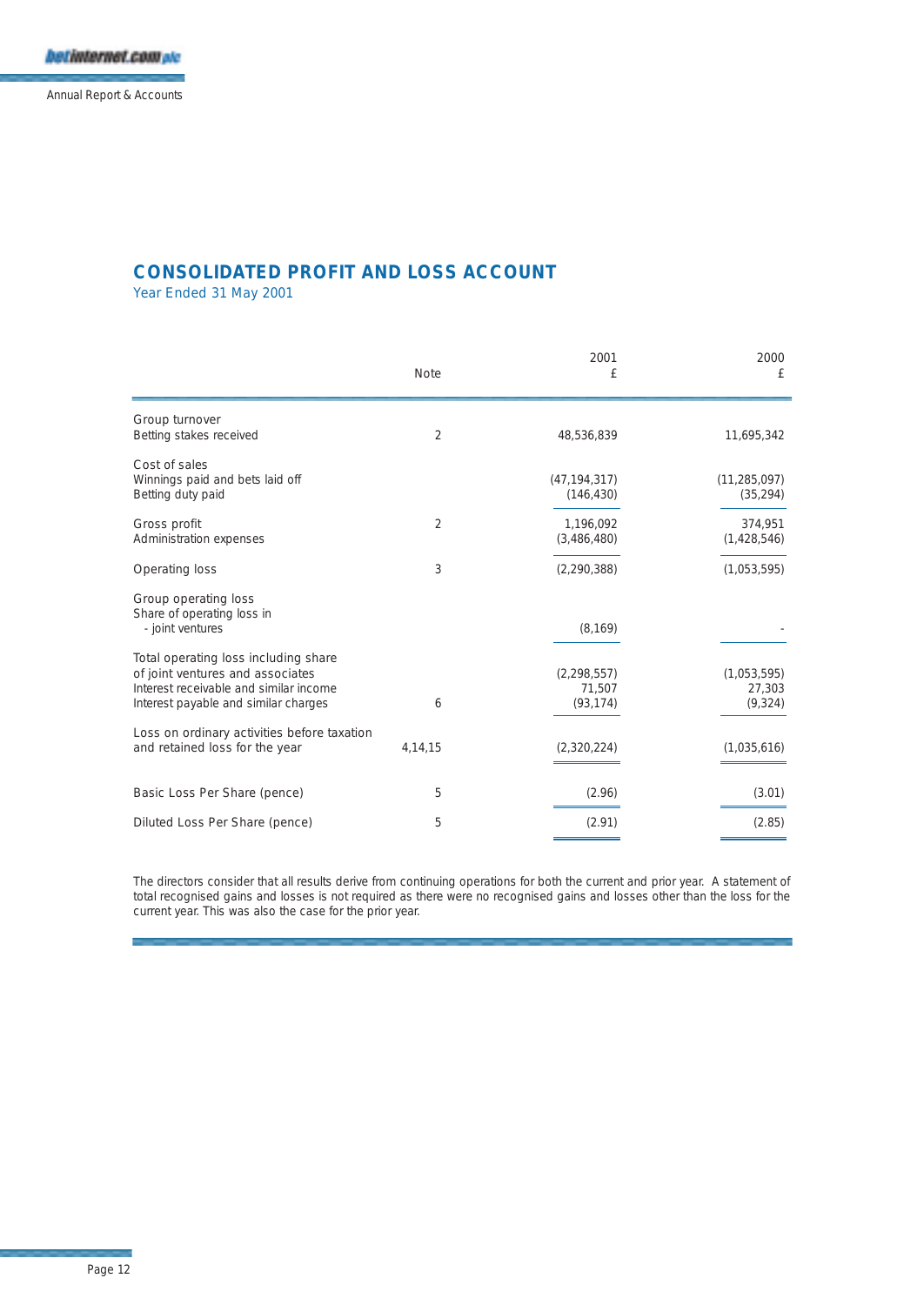Annual Report & Accounts

## **CONSOLIDATED PROFIT AND LOSS ACCOUNT**

Year Ended 31 May 2001

|                                                                                                                                                            | <b>Note</b>    | 2001<br>£                            | 2000<br>£                         |
|------------------------------------------------------------------------------------------------------------------------------------------------------------|----------------|--------------------------------------|-----------------------------------|
| Group turnover<br>Betting stakes received                                                                                                                  | $\overline{2}$ | 48,536,839                           | 11,695,342                        |
| Cost of sales<br>Winnings paid and bets laid off<br>Betting duty paid                                                                                      |                | (47, 194, 317)<br>(146, 430)         | (11, 285, 097)<br>(35, 294)       |
| Gross profit<br>Administration expenses                                                                                                                    | $\overline{2}$ | 1,196,092<br>(3,486,480)             | 374,951<br>(1,428,546)            |
| <b>Operating loss</b>                                                                                                                                      | 3              | (2, 290, 388)                        | (1,053,595)                       |
| Group operating loss<br>Share of operating loss in<br>- joint ventures                                                                                     |                | (8, 169)                             |                                   |
| Total operating loss including share<br>of joint ventures and associates<br>Interest receivable and similar income<br>Interest payable and similar charges | 6              | (2, 298, 557)<br>71,507<br>(93, 174) | (1,053,595)<br>27,303<br>(9, 324) |
| Loss on ordinary activities before taxation<br>and retained loss for the year                                                                              | 4, 14, 15      | (2,320,224)                          | (1,035,616)                       |
| Basic Loss Per Share (pence)                                                                                                                               | 5              | (2.96)                               | (3.01)                            |
| Diluted Loss Per Share (pence)                                                                                                                             | 5              | (2.91)                               | (2.85)                            |

The directors consider that all results derive from continuing operations for both the current and prior year. A statement of total recognised gains and losses is not required as there were no recognised gains and losses other than the loss for the current year. This was also the case for the prior year.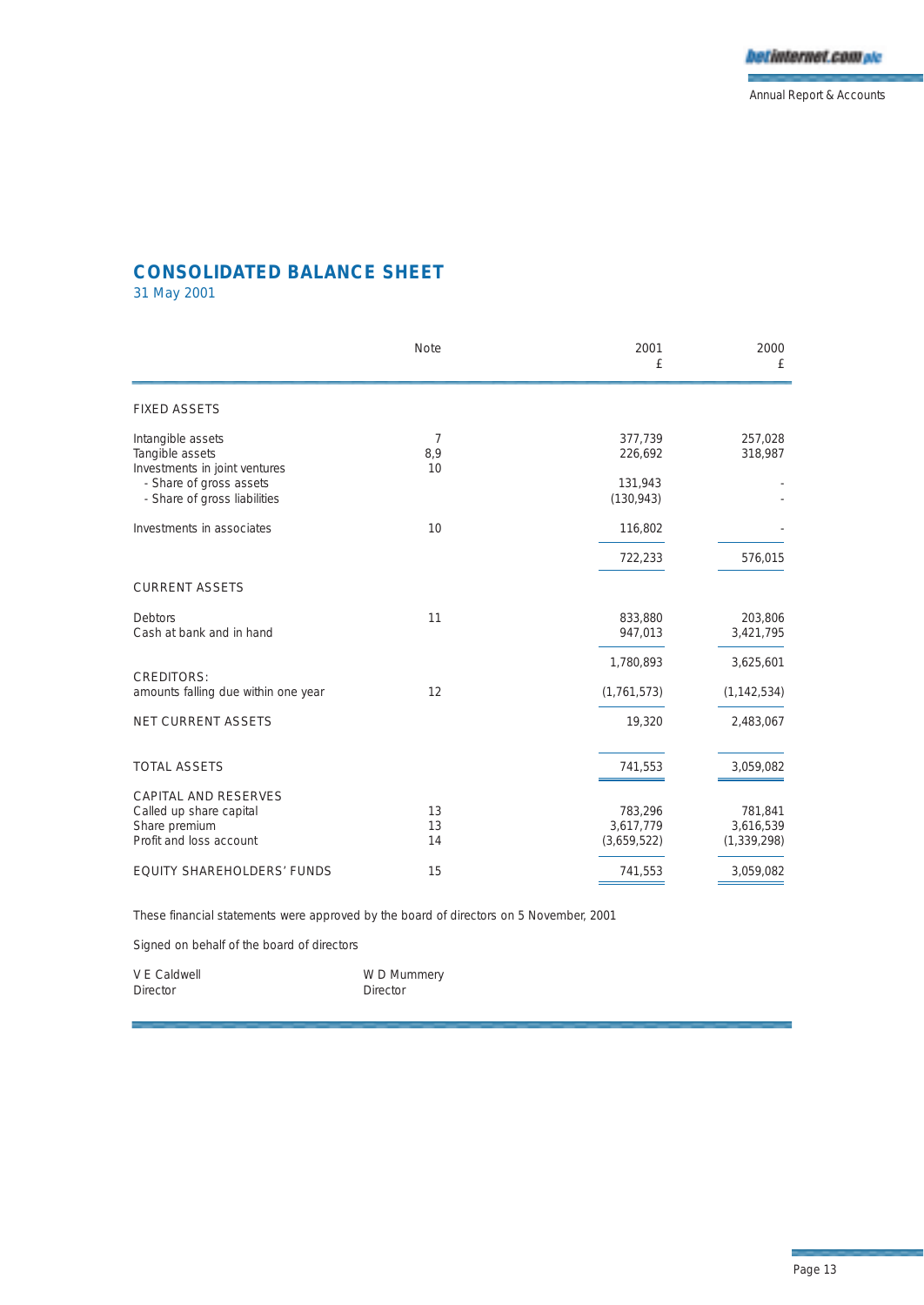

## **CONSOLIDATED BALANCE SHEET**

31 May 2001

|                                                                       | <b>Note</b>    | 2001<br>£                           | 2000<br>£                             |
|-----------------------------------------------------------------------|----------------|-------------------------------------|---------------------------------------|
| <b>FIXED ASSETS</b>                                                   |                |                                     |                                       |
| Intangible assets<br>Tangible assets<br>Investments in joint ventures | 7<br>8,9<br>10 | 377,739<br>226,692                  | 257,028<br>318,987                    |
| - Share of gross assets<br>- Share of gross liabilities               |                | 131,943<br>(130, 943)               |                                       |
| Investments in associates                                             | 10             | 116,802                             |                                       |
|                                                                       |                | 722,233                             | 576,015                               |
| <b>CURRENT ASSETS</b>                                                 |                |                                     |                                       |
| Debtors<br>Cash at bank and in hand                                   | 11             | 833,880<br>947,013                  | 203,806<br>3,421,795                  |
|                                                                       |                | 1,780,893                           | 3,625,601                             |
| <b>CREDITORS:</b><br>amounts falling due within one year              | 12             | (1, 761, 573)                       | (1, 142, 534)                         |
| <b>NET CURRENT ASSETS</b>                                             |                | 19,320                              | 2,483,067                             |
| <b>TOTAL ASSETS</b>                                                   |                | 741,553                             | 3,059,082                             |
| <b>CAPITAL AND RESERVES</b>                                           |                |                                     |                                       |
| Called up share capital<br>Share premium<br>Profit and loss account   | 13<br>13<br>14 | 783,296<br>3,617,779<br>(3,659,522) | 781,841<br>3,616,539<br>(1, 339, 298) |
| <b>EQUITY SHAREHOLDERS' FUNDS</b>                                     | 15             | 741,553                             | 3,059,082                             |

These financial statements were approved by the board of directors on 5 November, 2001

Signed on behalf of the board of directors

| V E Caldwell    | W D Mummery |
|-----------------|-------------|
| <b>Director</b> | Director    |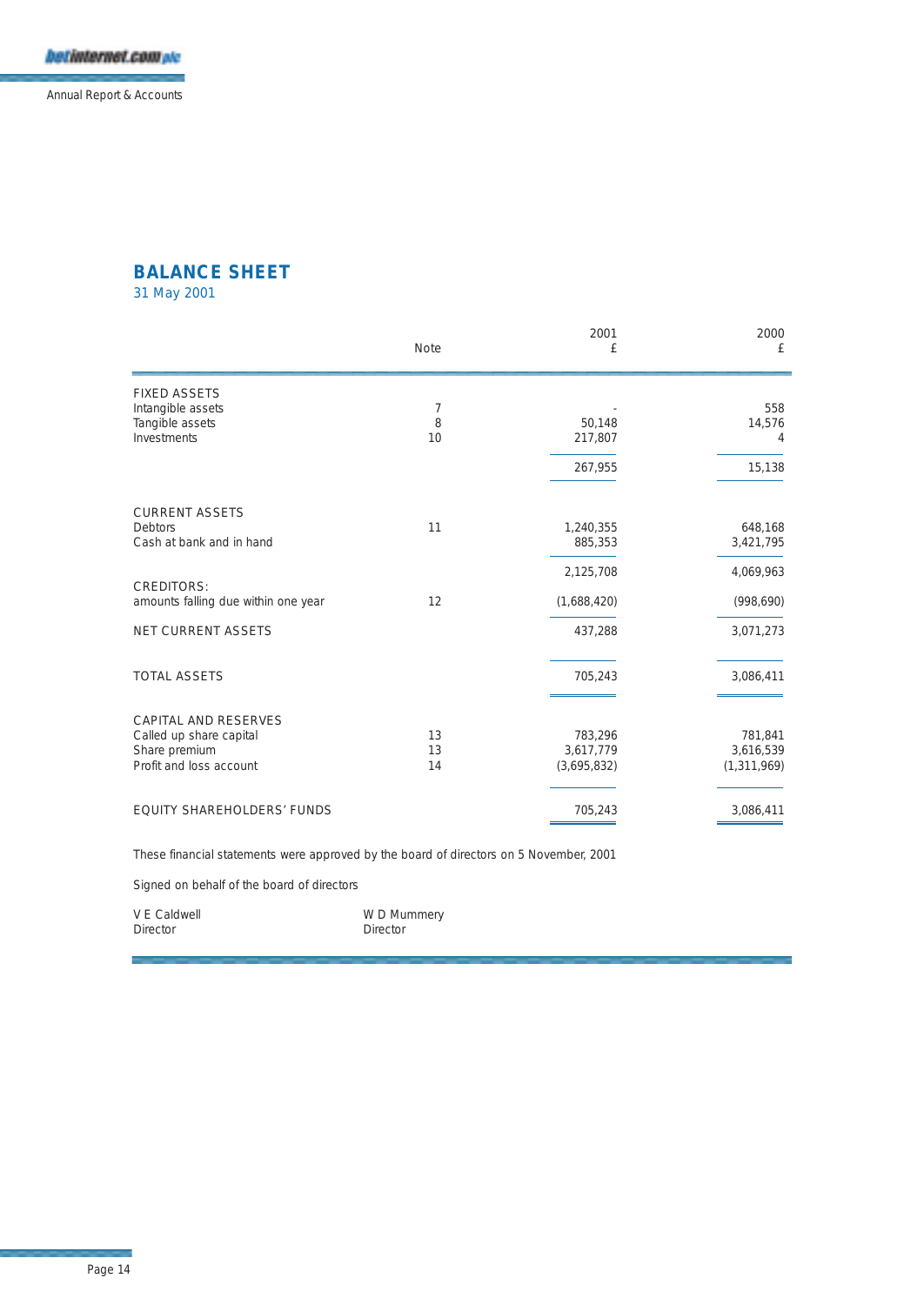Annual Report & Accounts

## **BALANCE SHEET**

31 May 2001

|                                     | <b>Note</b> | 2001<br>£   | 2000<br>£     |
|-------------------------------------|-------------|-------------|---------------|
| <b>FIXED ASSETS</b>                 |             |             |               |
| Intangible assets                   | 7           |             | 558           |
| Tangible assets                     | 8           | 50,148      | 14,576        |
| Investments                         | 10          | 217,807     | 4             |
|                                     |             | 267,955     | 15,138        |
|                                     |             |             |               |
| <b>CURRENT ASSETS</b>               |             |             |               |
| Debtors                             | 11          | 1,240,355   | 648,168       |
| Cash at bank and in hand            |             | 885,353     | 3,421,795     |
|                                     |             | 2,125,708   | 4,069,963     |
| <b>CREDITORS:</b>                   |             |             |               |
| amounts falling due within one year | 12          | (1,688,420) | (998, 690)    |
| <b>NET CURRENT ASSETS</b>           |             | 437,288     | 3,071,273     |
|                                     |             |             |               |
| <b>TOTAL ASSETS</b>                 |             | 705,243     | 3,086,411     |
|                                     |             |             |               |
| <b>CAPITAL AND RESERVES</b>         |             |             |               |
| Called up share capital             | 13          | 783,296     | 781,841       |
| Share premium                       | 13          | 3,617,779   | 3,616,539     |
| Profit and loss account             | 14          | (3,695,832) | (1, 311, 969) |
|                                     |             |             |               |
| <b>EQUITY SHAREHOLDERS' FUNDS</b>   |             | 705,243     | 3,086,411     |

These financial statements were approved by the board of directors on 5 November, 2001

Signed on behalf of the board of directors

| V E Caldwell    | W D Mummery |
|-----------------|-------------|
| <b>Director</b> | Director    |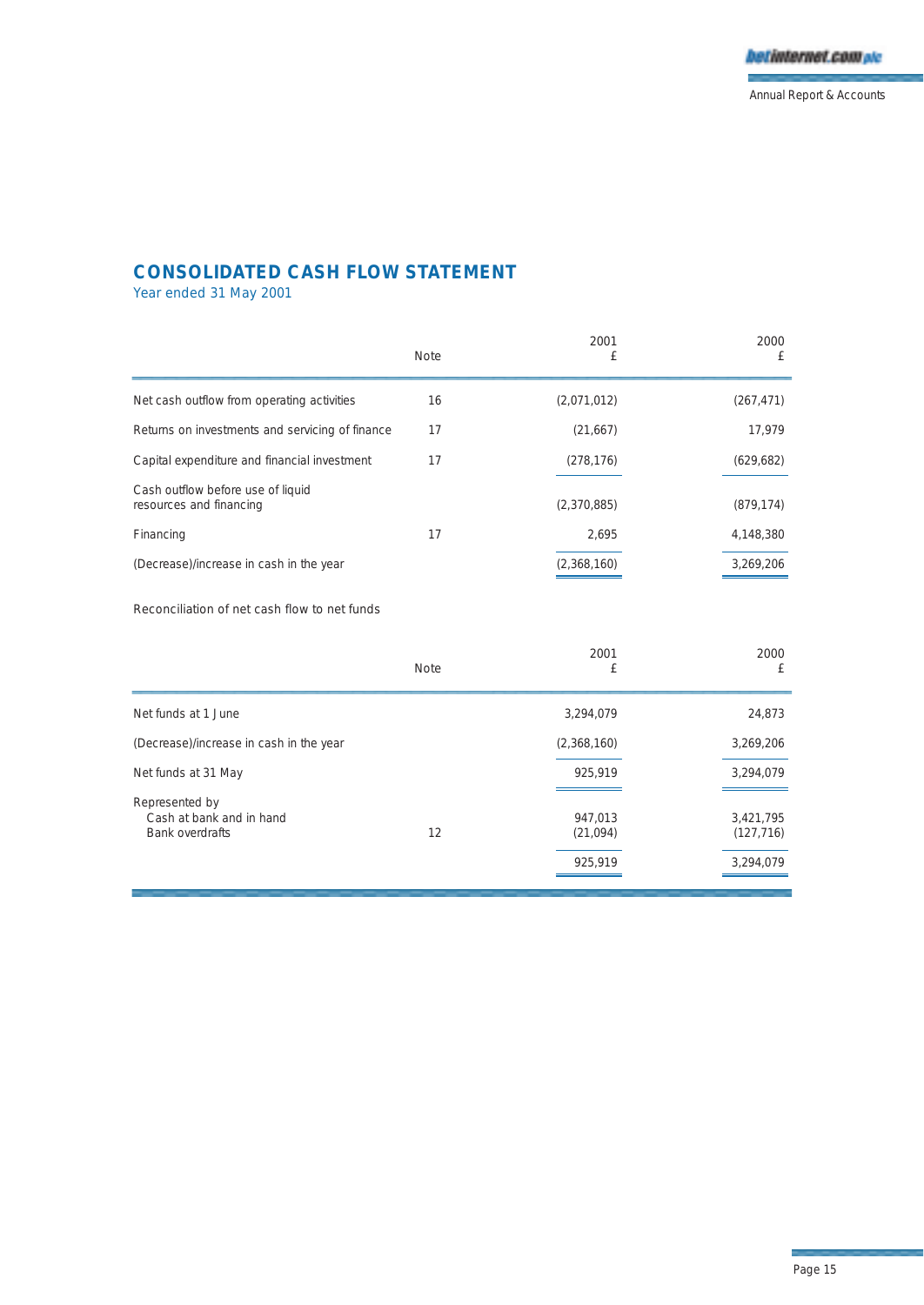## **CONSOLIDATED CASH FLOW STATEMENT**

Year ended 31 May 2001

|                                                              | <b>Note</b> | 2001<br>£   | 2000<br>£  |
|--------------------------------------------------------------|-------------|-------------|------------|
| Net cash outflow from operating activities                   | 16          | (2,071,012) | (267, 471) |
| Returns on investments and servicing of finance              | 17          | (21,667)    | 17,979     |
| Capital expenditure and financial investment                 | 17          | (278, 176)  | (629, 682) |
| Cash outflow before use of liquid<br>resources and financing |             | (2,370,885) | (879, 174) |
| Financing                                                    | 17          | 2.695       | 4,148,380  |
| (Decrease)/increase in cash in the year                      |             | (2,368,160) | 3,269,206  |

## Reconciliation of net cash flow to net funds

|                                                                      | <b>Note</b> | 2001<br>£                      | 2000<br>£                            |
|----------------------------------------------------------------------|-------------|--------------------------------|--------------------------------------|
| Net funds at 1 June                                                  |             | 3,294,079                      | 24,873                               |
| (Decrease)/increase in cash in the year                              |             | (2,368,160)                    | 3.269.206                            |
| Net funds at 31 May                                                  |             | 925,919                        | 3,294,079                            |
| Represented by<br>Cash at bank and in hand<br><b>Bank overdrafts</b> | 12          | 947,013<br>(21,094)<br>925,919 | 3,421,795<br>(127, 716)<br>3,294,079 |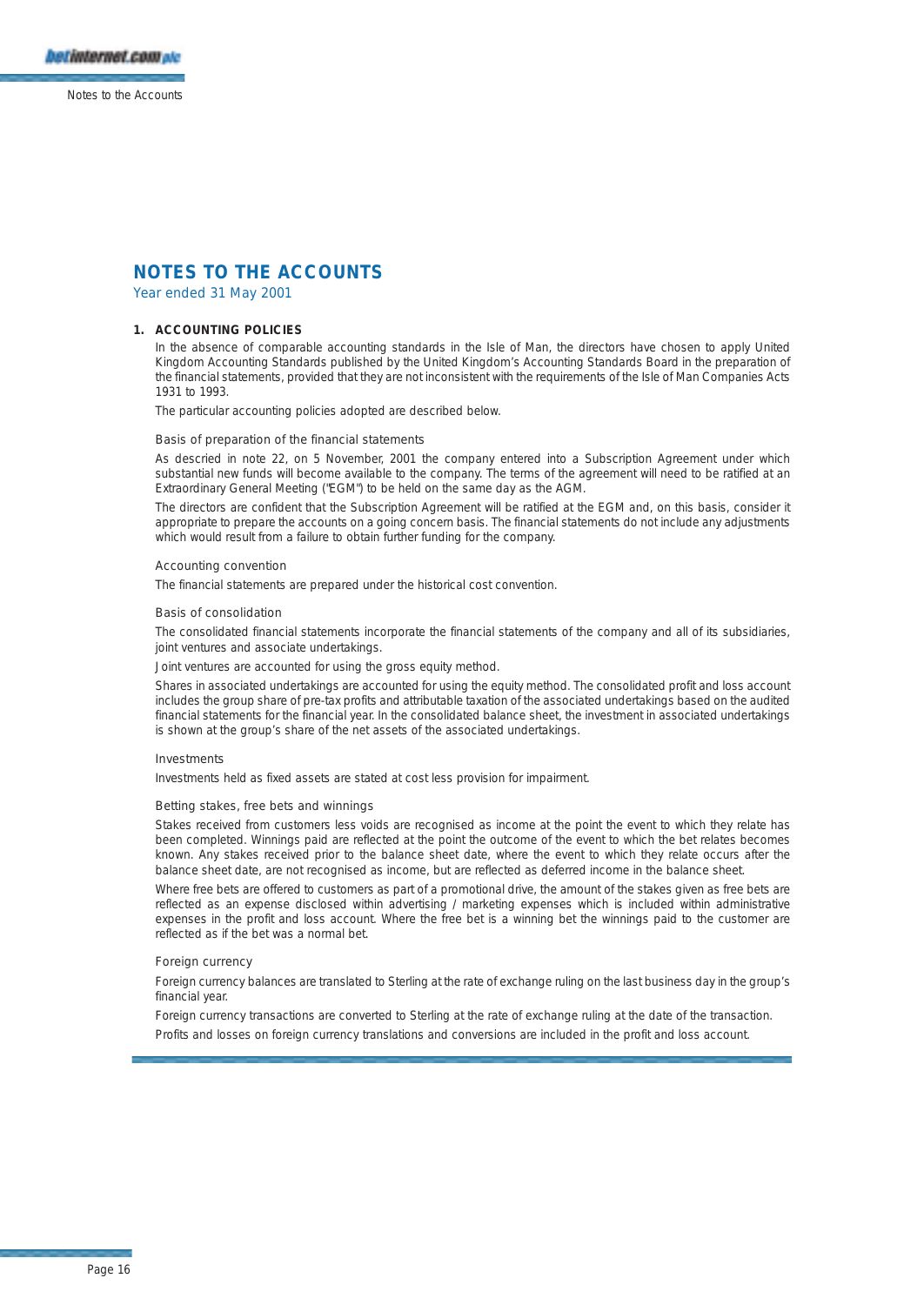

Year ended 31 May 2001

#### **1. ACCOUNTING POLICIES**

In the absence of comparable accounting standards in the Isle of Man, the directors have chosen to apply United Kingdom Accounting Standards published by the United Kingdom's Accounting Standards Board in the preparation of the financial statements, provided that they are not inconsistent with the requirements of the Isle of Man Companies Acts 1931 to 1993.

The particular accounting policies adopted are described below.

#### Basis of preparation of the financial statements

As descried in note 22, on 5 November, 2001 the company entered into a Subscription Agreement under which substantial new funds will become available to the company. The terms of the agreement will need to be ratified at an Extraordinary General Meeting ("EGM") to be held on the same day as the AGM.

The directors are confident that the Subscription Agreement will be ratified at the EGM and, on this basis, consider it appropriate to prepare the accounts on a going concern basis. The financial statements do not include any adjustments which would result from a failure to obtain further funding for the company.

#### Accounting convention

The financial statements are prepared under the historical cost convention.

#### Basis of consolidation

The consolidated financial statements incorporate the financial statements of the company and all of its subsidiaries, joint ventures and associate undertakings.

Joint ventures are accounted for using the gross equity method.

Shares in associated undertakings are accounted for using the equity method. The consolidated profit and loss account includes the group share of pre-tax profits and attributable taxation of the associated undertakings based on the audited financial statements for the financial year. In the consolidated balance sheet, the investment in associated undertakings is shown at the group's share of the net assets of the associated undertakings.

#### Investments

Investments held as fixed assets are stated at cost less provision for impairment.

#### Betting stakes, free bets and winnings

Stakes received from customers less voids are recognised as income at the point the event to which they relate has been completed. Winnings paid are reflected at the point the outcome of the event to which the bet relates becomes known. Any stakes received prior to the balance sheet date, where the event to which they relate occurs after the balance sheet date, are not recognised as income, but are reflected as deferred income in the balance sheet.

Where free bets are offered to customers as part of a promotional drive, the amount of the stakes given as free bets are reflected as an expense disclosed within advertising / marketing expenses which is included within administrative expenses in the profit and loss account. Where the free bet is a winning bet the winnings paid to the customer are reflected as if the bet was a normal bet.

### Foreign currency

Foreign currency balances are translated to Sterling at the rate of exchange ruling on the last business day in the group's financial year.

Foreign currency transactions are converted to Sterling at the rate of exchange ruling at the date of the transaction.

Profits and losses on foreign currency translations and conversions are included in the profit and loss account.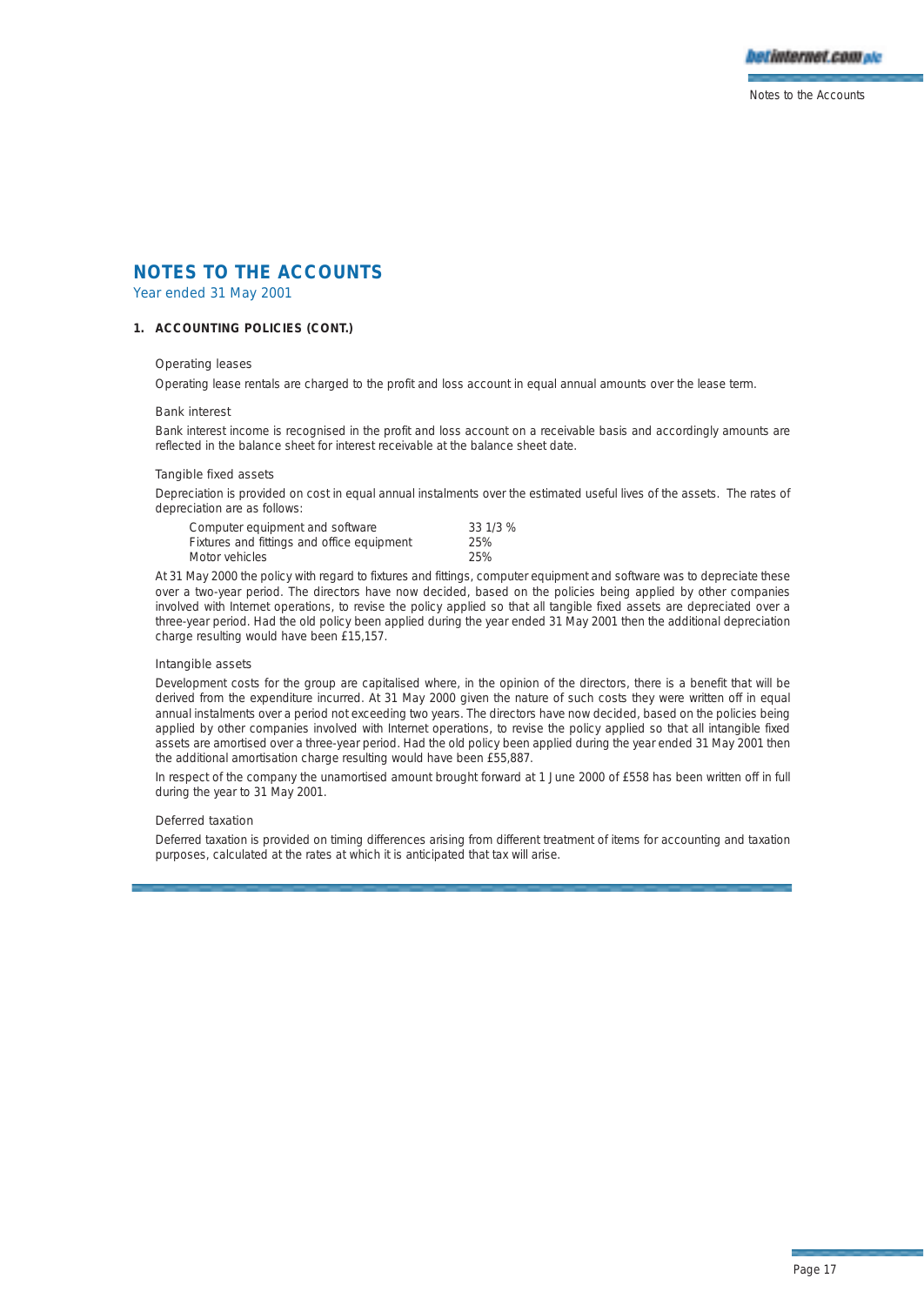

Year ended 31 May 2001

### **1. ACCOUNTING POLICIES (CONT.)**

### Operating leases

Operating lease rentals are charged to the profit and loss account in equal annual amounts over the lease term.

#### Bank interest

Bank interest income is recognised in the profit and loss account on a receivable basis and accordingly amounts are reflected in the balance sheet for interest receivable at the balance sheet date.

#### Tangible fixed assets

Depreciation is provided on cost in equal annual instalments over the estimated useful lives of the assets. The rates of depreciation are as follows:

| Computer equipment and software            | 33 1/3 % |
|--------------------------------------------|----------|
| Fixtures and fittings and office equipment | 25%      |
| Motor vehicles                             | 25%      |

At 31 May 2000 the policy with regard to fixtures and fittings, computer equipment and software was to depreciate these over a two-year period. The directors have now decided, based on the policies being applied by other companies involved with Internet operations, to revise the policy applied so that all tangible fixed assets are depreciated over a three-year period. Had the old policy been applied during the year ended 31 May 2001 then the additional depreciation charge resulting would have been £15,157.

#### Intangible assets

Development costs for the group are capitalised where, in the opinion of the directors, there is a benefit that will be derived from the expenditure incurred. At 31 May 2000 given the nature of such costs they were written off in equal annual instalments over a period not exceeding two years. The directors have now decided, based on the policies being applied by other companies involved with Internet operations, to revise the policy applied so that all intangible fixed assets are amortised over a three-year period. Had the old policy been applied during the year ended 31 May 2001 then the additional amortisation charge resulting would have been £55,887.

In respect of the company the unamortised amount brought forward at 1 June 2000 of £558 has been written off in full during the year to 31 May 2001.

#### Deferred taxation

Deferred taxation is provided on timing differences arising from different treatment of items for accounting and taxation purposes, calculated at the rates at which it is anticipated that tax will arise.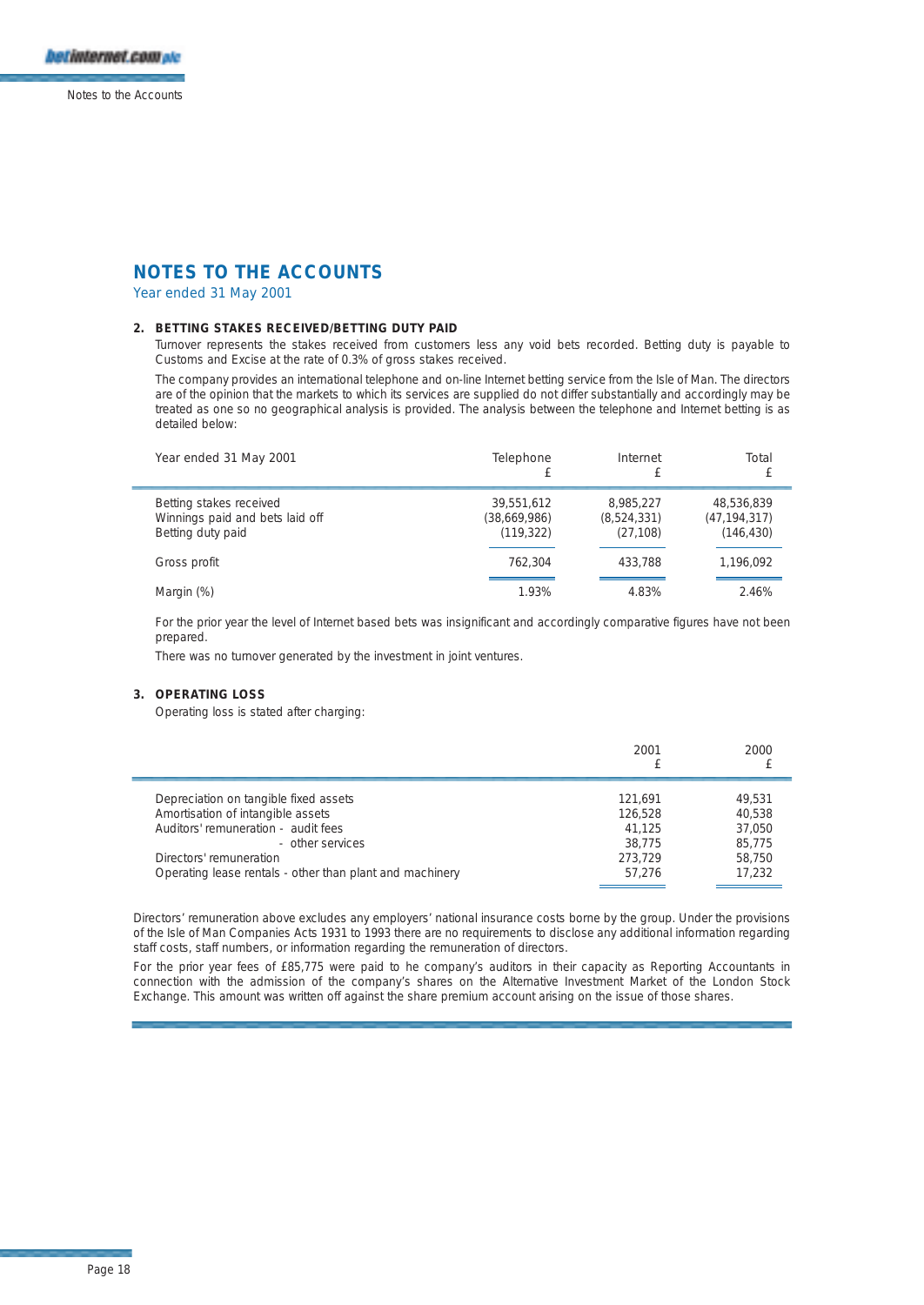Year ended 31 May 2001

### **2. BETTING STAKES RECEIVED/BETTING DUTY PAID**

Turnover represents the stakes received from customers less any void bets recorded. Betting duty is payable to Customs and Excise at the rate of 0.3% of gross stakes received.

The company provides an international telephone and on-line Internet betting service from the Isle of Man. The directors are of the opinion that the markets to which its services are supplied do not differ substantially and accordingly may be treated as one so no geographical analysis is provided. The analysis between the telephone and Internet betting is as detailed below:

| Year ended 31 May 2001                                                          | Telephone<br>£                           | Internet                              | Total                                      |
|---------------------------------------------------------------------------------|------------------------------------------|---------------------------------------|--------------------------------------------|
| Betting stakes received<br>Winnings paid and bets laid off<br>Betting duty paid | 39.551.612<br>(38,669,986)<br>(119, 322) | 8.985.227<br>(8,524,331)<br>(27, 108) | 48.536.839<br>(47, 194, 317)<br>(146, 430) |
| Gross profit                                                                    | 762.304                                  | 433.788                               | 1,196,092                                  |
| Margin (%)                                                                      | 1.93%                                    | 4.83%                                 | 2.46%                                      |

For the prior year the level of Internet based bets was insignificant and accordingly comparative figures have not been prepared.

There was no turnover generated by the investment in joint ventures.

## **3. OPERATING LOSS**

Operating loss is stated after charging:

|                                                          | 2001    | 2000   |
|----------------------------------------------------------|---------|--------|
| Depreciation on tangible fixed assets                    | 121.691 | 49.531 |
| Amortisation of intangible assets                        | 126.528 | 40.538 |
| Auditors' remuneration - audit fees                      | 41.125  | 37.050 |
| - other services                                         | 38.775  | 85.775 |
| Directors' remuneration                                  | 273.729 | 58.750 |
| Operating lease rentals - other than plant and machinery | 57.276  | 17.232 |

Directors' remuneration above excludes any employers' national insurance costs borne by the group. Under the provisions of the Isle of Man Companies Acts 1931 to 1993 there are no requirements to disclose any additional information regarding staff costs, staff numbers, or information regarding the remuneration of directors.

For the prior year fees of £85,775 were paid to he company's auditors in their capacity as Reporting Accountants in connection with the admission of the company's shares on the Alternative Investment Market of the London Stock Exchange. This amount was written off against the share premium account arising on the issue of those shares.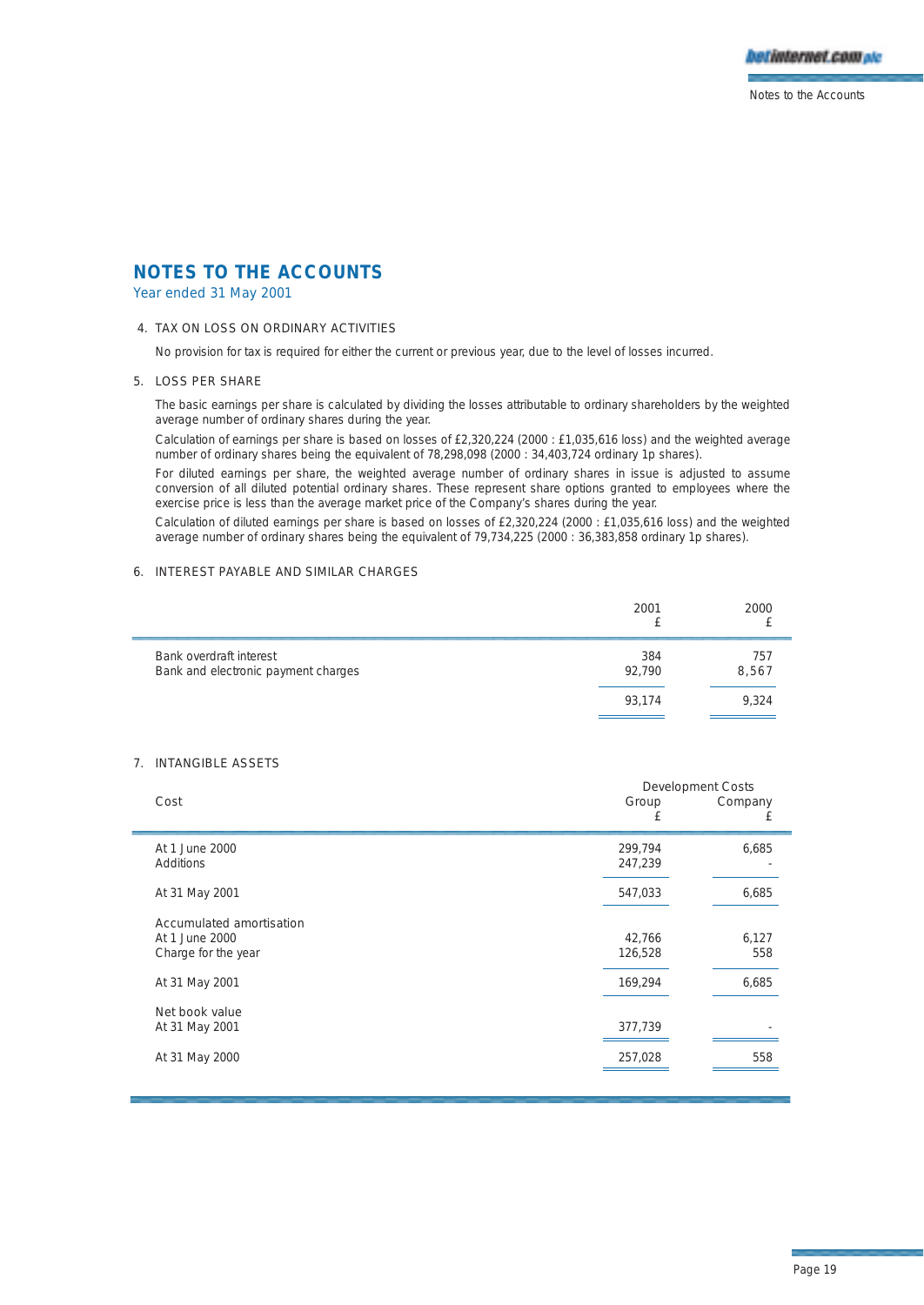

Year ended 31 May 2001

### 4. TAX ON LOSS ON ORDINARY ACTIVITIES

No provision for tax is required for either the current or previous year, due to the level of losses incurred.

#### 5. LOSS PER SHARE

The basic earnings per share is calculated by dividing the losses attributable to ordinary shareholders by the weighted average number of ordinary shares during the year.

Calculation of earnings per share is based on losses of £2,320,224 (2000 : £1,035,616 loss) and the weighted average number of ordinary shares being the equivalent of 78,298,098 (2000 : 34,403,724 ordinary 1p shares).

For diluted earnings per share, the weighted average number of ordinary shares in issue is adjusted to assume conversion of all diluted potential ordinary shares. These represent share options granted to employees where the exercise price is less than the average market price of the Company's shares during the year.

Calculation of diluted earnings per share is based on losses of £2,320,224 (2000 : £1,035,616 loss) and the weighted average number of ordinary shares being the equivalent of 79,734,225 (2000 : 36,383,858 ordinary 1p shares).

## 6. INTEREST PAYABLE AND SIMILAR CHARGES

|                                                                | 2001          | 2000         |
|----------------------------------------------------------------|---------------|--------------|
| Bank overdraft interest<br>Bank and electronic payment charges | 384<br>92.790 | 757<br>8,567 |
|                                                                | 93.174        | 9,324        |

## 7. INTANGIBLE ASSETS

|                                                                   | <b>Development Costs</b> |              |  |
|-------------------------------------------------------------------|--------------------------|--------------|--|
| Cost                                                              | Group<br>£               | Company<br>£ |  |
| At 1 June 2000<br>Additions                                       | 299,794<br>247,239       | 6,685        |  |
| At 31 May 2001                                                    | 547,033                  | 6,685        |  |
| Accumulated amortisation<br>At 1 June 2000<br>Charge for the year | 42,766<br>126,528        | 6,127<br>558 |  |
| At 31 May 2001                                                    | 169,294                  | 6,685        |  |
| Net book value<br>At 31 May 2001                                  | 377,739                  |              |  |
| At 31 May 2000                                                    | 257,028                  | 558          |  |
|                                                                   |                          |              |  |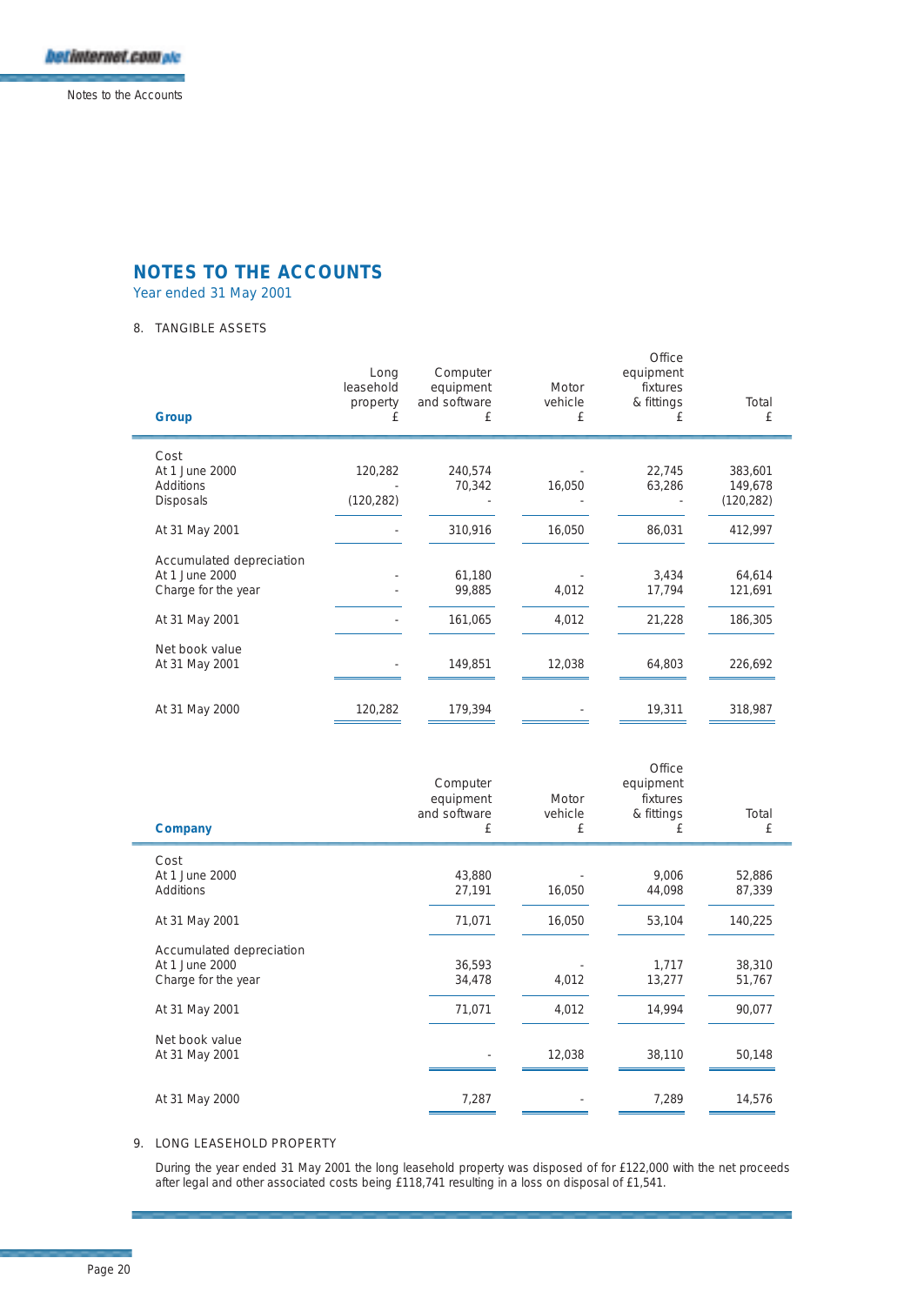

Year ended 31 May 2001

## 8. TANGIBLE ASSETS

| Group                    | Long<br>leasehold<br>property<br>£ | Computer<br>equipment<br>and software<br>£ | Motor<br>vehicle<br>£ | Office<br>equipment<br>fixtures<br>& fittings<br>£ | Total<br>£ |
|--------------------------|------------------------------------|--------------------------------------------|-----------------------|----------------------------------------------------|------------|
| Cost                     |                                    |                                            |                       |                                                    |            |
| At 1 June 2000           | 120,282                            | 240,574                                    |                       | 22,745                                             | 383,601    |
| Additions                |                                    | 70,342                                     | 16,050                | 63,286                                             | 149,678    |
| <b>Disposals</b>         | (120, 282)                         |                                            |                       |                                                    | (120, 282) |
| At 31 May 2001           |                                    | 310,916                                    | 16,050                | 86,031                                             | 412,997    |
| Accumulated depreciation |                                    |                                            |                       |                                                    |            |
| At 1 June 2000           |                                    | 61,180                                     |                       | 3,434                                              | 64,614     |
| Charge for the year      |                                    | 99,885                                     | 4,012                 | 17,794                                             | 121,691    |
| At 31 May 2001           |                                    | 161,065                                    | 4,012                 | 21,228                                             | 186,305    |
| Net book value           |                                    |                                            |                       |                                                    |            |
| At 31 May 2001           |                                    | 149,851                                    | 12,038                | 64,803                                             | 226,692    |
| At 31 May 2000           | 120,282                            | 179,394                                    |                       | 19,311                                             | 318,987    |
|                          |                                    |                                            |                       |                                                    |            |

| Total<br>£       |
|------------------|
|                  |
| 52,886<br>87,339 |
|                  |
| 140,225          |
|                  |
| 38,310           |
| 51,767           |
| 90,077           |
|                  |
| 50,148           |
|                  |
| 14,576           |
|                  |

### 9. LONG LEASEHOLD PROPERTY

During the year ended 31 May 2001 the long leasehold property was disposed of for £122,000 with the net proceeds after legal and other associated costs being £118,741 resulting in a loss on disposal of £1,541.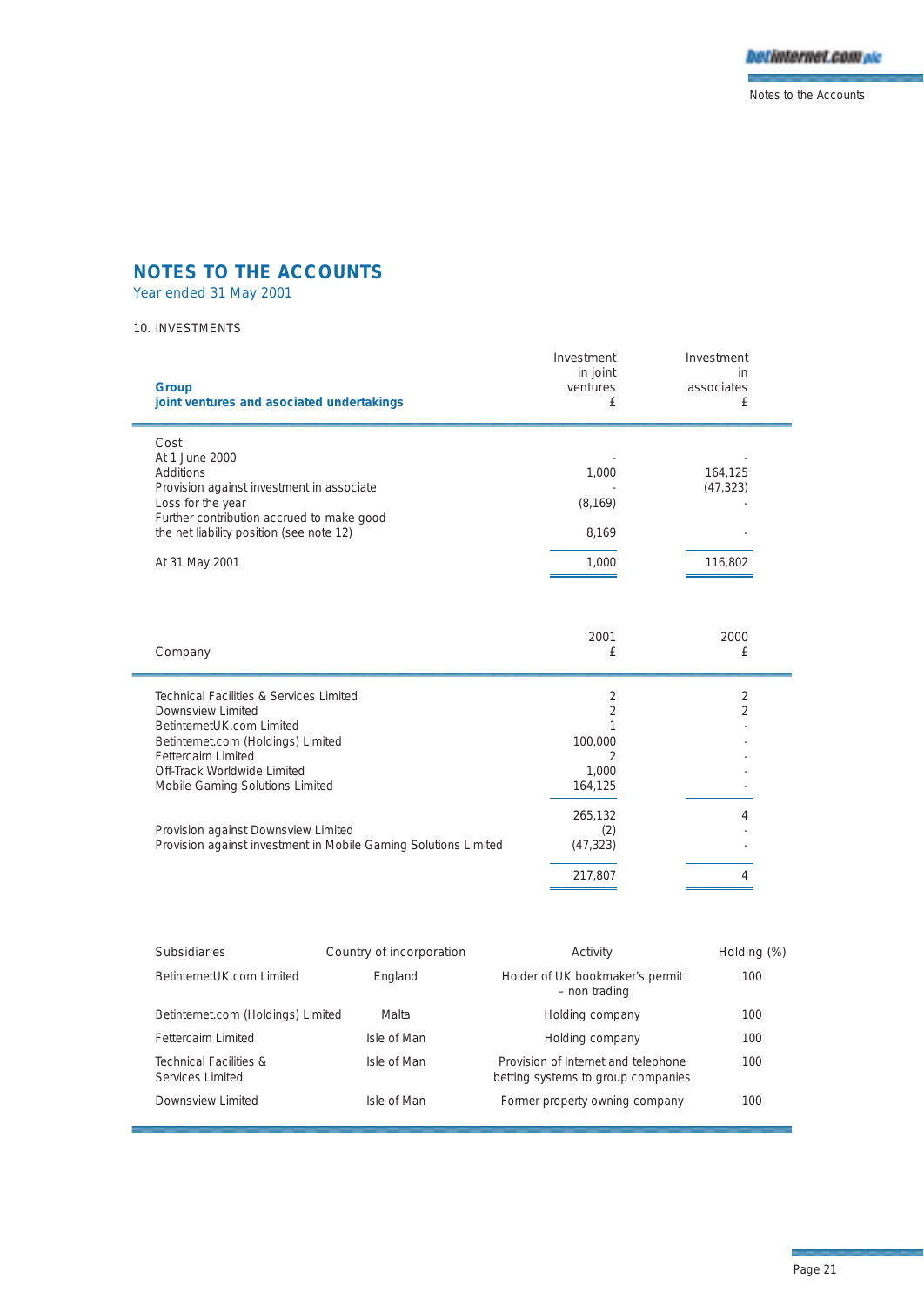

Year ended 31 May 2001

## 10. INVESTMENTS

| Group<br>joint ventures and asociated undertakings                                    | Investment<br>in joint<br>ventures<br>£ | Investment<br>in<br>associates<br>£ |  |
|---------------------------------------------------------------------------------------|-----------------------------------------|-------------------------------------|--|
| Cost<br>At 1 June 2000                                                                |                                         |                                     |  |
| Additions                                                                             | 1,000                                   | 164,125                             |  |
| Provision against investment in associate                                             |                                         | (47, 323)                           |  |
| Loss for the year                                                                     | (8, 169)                                |                                     |  |
| Further contribution accrued to make good<br>the net liability position (see note 12) | 8,169                                   |                                     |  |
| At 31 May 2001                                                                        | 1,000                                   | 116,802                             |  |
| Company                                                                               | 2001<br>£                               | 2000<br>£                           |  |
| Technical Facilities & Services Limited                                               | 2                                       | 2                                   |  |

| <b>Subsidiaries</b>                        | Country of incorporation | Activity                                                                  | Holding (%) |
|--------------------------------------------|--------------------------|---------------------------------------------------------------------------|-------------|
| BetinternetUK.com Limited                  | England                  | Holder of UK bookmaker's permit<br>- non trading                          | 100         |
| Betinternet.com (Holdings) Limited         | Malta                    | Holding company                                                           | 100         |
| Fettercairn Limited                        | Isle of Man              | Holding company                                                           | 100         |
| Technical Facilities &<br>Services Limited | Isle of Man              | Provision of Internet and telephone<br>betting systems to group companies | 100         |
| Downsview Limited                          | Isle of Man              | Former property owning company                                            | 100         |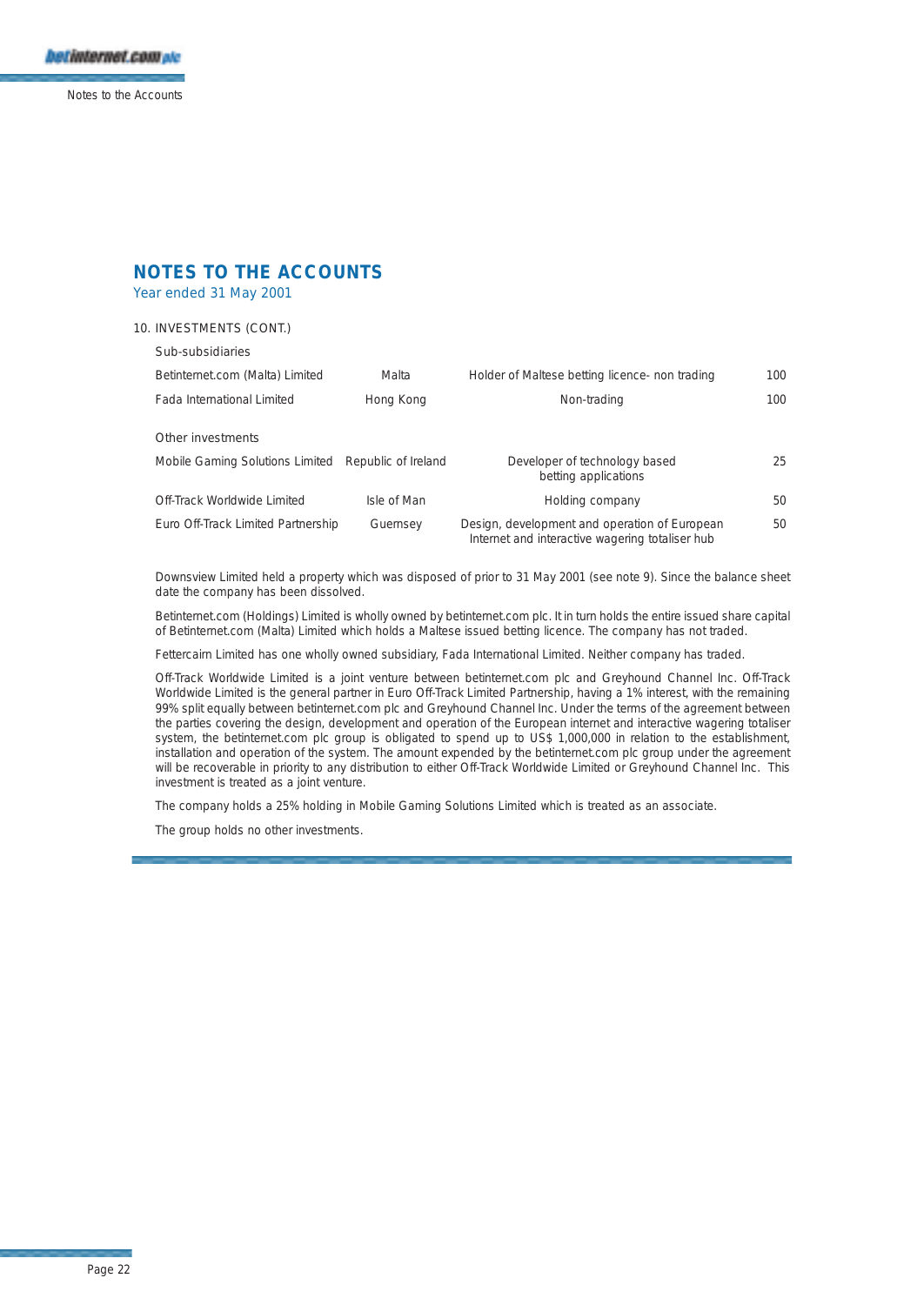Year ended 31 May 2001

## 10. INVESTMENTS (CONT.)

### Sub-subsidiaries

| Betinternet.com (Malta) Limited                     | Malta       | Holder of Maltese betting licence- non trading                                                   | 100 |
|-----------------------------------------------------|-------------|--------------------------------------------------------------------------------------------------|-----|
| Fada International Limited                          | Hong Kong   | Non-trading                                                                                      | 100 |
| Other investments                                   |             |                                                                                                  |     |
| Mobile Gaming Solutions Limited Republic of Ireland |             | Developer of technology based<br>betting applications                                            | 25. |
| Off-Track Worldwide Limited                         | Isle of Man | Holding company                                                                                  | 50. |
| Euro Off-Track Limited Partnership                  | Guernsey    | Design, development and operation of European<br>Internet and interactive wagering totaliser hub | 50. |

Downsview Limited held a property which was disposed of prior to 31 May 2001 (see note 9). Since the balance sheet date the company has been dissolved.

Betinternet.com (Holdings) Limited is wholly owned by betinternet.com plc. It in turn holds the entire issued share capital of Betinternet.com (Malta) Limited which holds a Maltese issued betting licence. The company has not traded.

Fettercairn Limited has one wholly owned subsidiary, Fada International Limited. Neither company has traded.

Off-Track Worldwide Limited is a joint venture between betinternet.com plc and Greyhound Channel Inc. Off-Track Worldwide Limited is the general partner in Euro Off-Track Limited Partnership, having a 1% interest, with the remaining 99% split equally between betinternet.com plc and Greyhound Channel Inc. Under the terms of the agreement between the parties covering the design, development and operation of the European internet and interactive wagering totaliser system, the betinternet.com plc group is obligated to spend up to US\$ 1,000,000 in relation to the establishment, installation and operation of the system. The amount expended by the betinternet.com plc group under the agreement will be recoverable in priority to any distribution to either Off-Track Worldwide Limited or Greyhound Channel Inc. This investment is treated as a joint venture.

The company holds a 25% holding in Mobile Gaming Solutions Limited which is treated as an associate.

The group holds no other investments.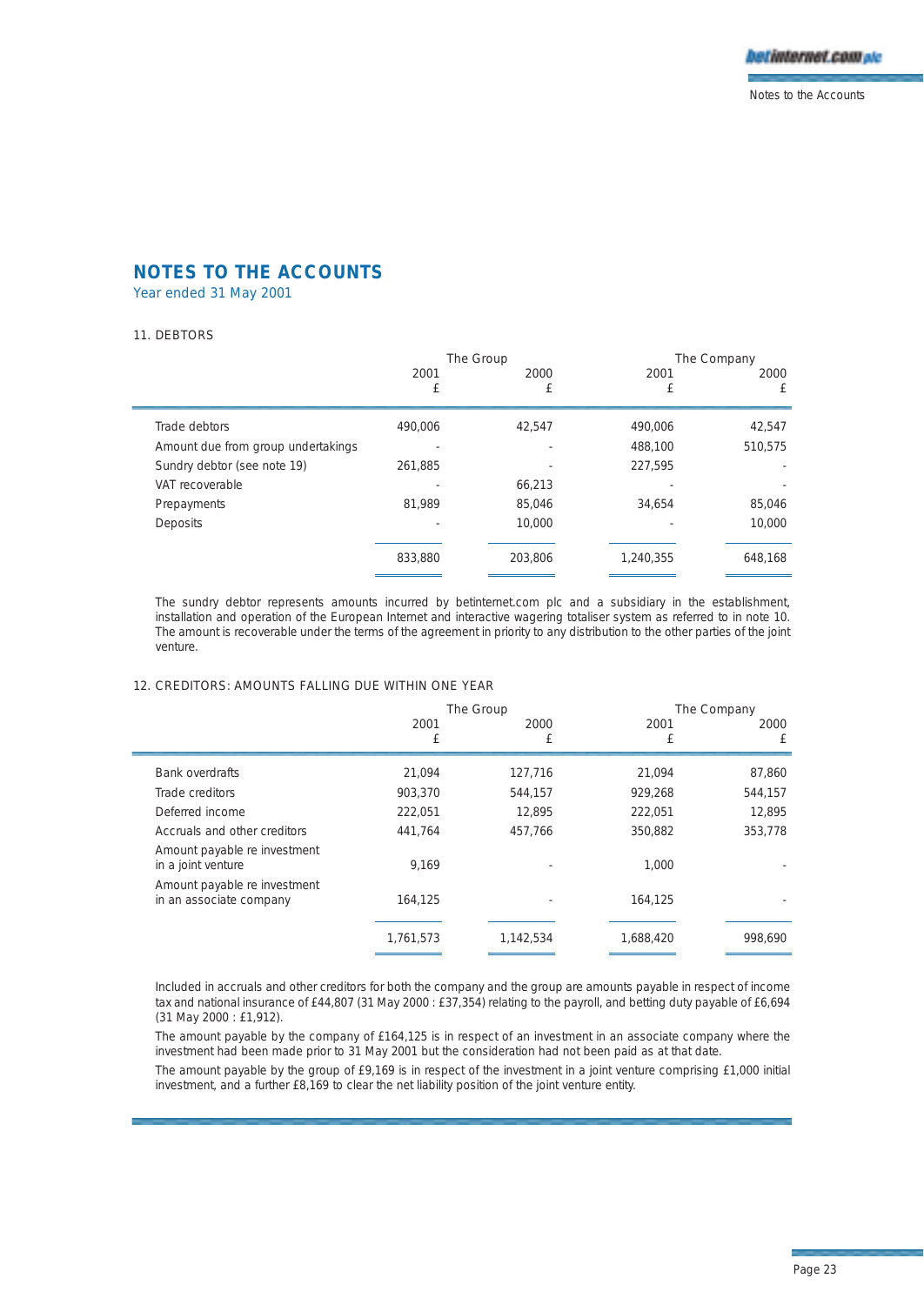Year ended 31 May 2001

#### 11. DEBTORS

í.

|                                    | The Group |           |           | The Company |
|------------------------------------|-----------|-----------|-----------|-------------|
|                                    | 2001<br>£ | 2000<br>£ | 2001<br>£ | 2000<br>£   |
| Trade debtors                      | 490.006   | 42.547    | 490,006   | 42,547      |
| Amount due from group undertakings |           |           | 488,100   | 510,575     |
| Sundry debtor (see note 19)        | 261.885   |           | 227.595   |             |
| VAT recoverable                    |           | 66,213    |           |             |
| Prepayments                        | 81,989    | 85,046    | 34.654    | 85,046      |
| <b>Deposits</b>                    |           | 10,000    |           | 10,000      |
|                                    | 833,880   | 203.806   | 1,240,355 | 648.168     |

The sundry debtor represents amounts incurred by betinternet.com plc and a subsidiary in the establishment, installation and operation of the European Internet and interactive wagering totaliser system as referred to in note 10. The amount is recoverable under the terms of the agreement in priority to any distribution to the other parties of the joint venture.

## 12. CREDITORS: AMOUNTS FALLING DUE WITHIN ONE YEAR

|                                                         | The Group |           |           | The Company |
|---------------------------------------------------------|-----------|-----------|-----------|-------------|
|                                                         | 2001      | 2000      | 2001      | 2000        |
|                                                         | £         | £         | £         | £           |
| <b>Bank overdrafts</b>                                  | 21.094    | 127,716   | 21.094    | 87,860      |
| Trade creditors                                         | 903.370   | 544,157   | 929,268   | 544,157     |
| Deferred income                                         | 222.051   | 12.895    | 222,051   | 12.895      |
| Accruals and other creditors                            | 441.764   | 457.766   | 350.882   | 353,778     |
| Amount payable re investment<br>in a joint venture      | 9.169     |           | 1.000     |             |
| Amount payable re investment<br>in an associate company | 164.125   |           | 164,125   |             |
|                                                         | 1,761,573 | 1,142,534 | 1,688,420 | 998.690     |

Included in accruals and other creditors for both the company and the group are amounts payable in respect of income tax and national insurance of £44,807 (31 May 2000 : £37,354) relating to the payroll, and betting duty payable of £6,694 (31 May 2000 : £1,912).

The amount payable by the company of £164,125 is in respect of an investment in an associate company where the investment had been made prior to 31 May 2001 but the consideration had not been paid as at that date.

The amount payable by the group of £9,169 is in respect of the investment in a joint venture comprising £1,000 initial investment, and a further £8,169 to clear the net liability position of the joint venture entity.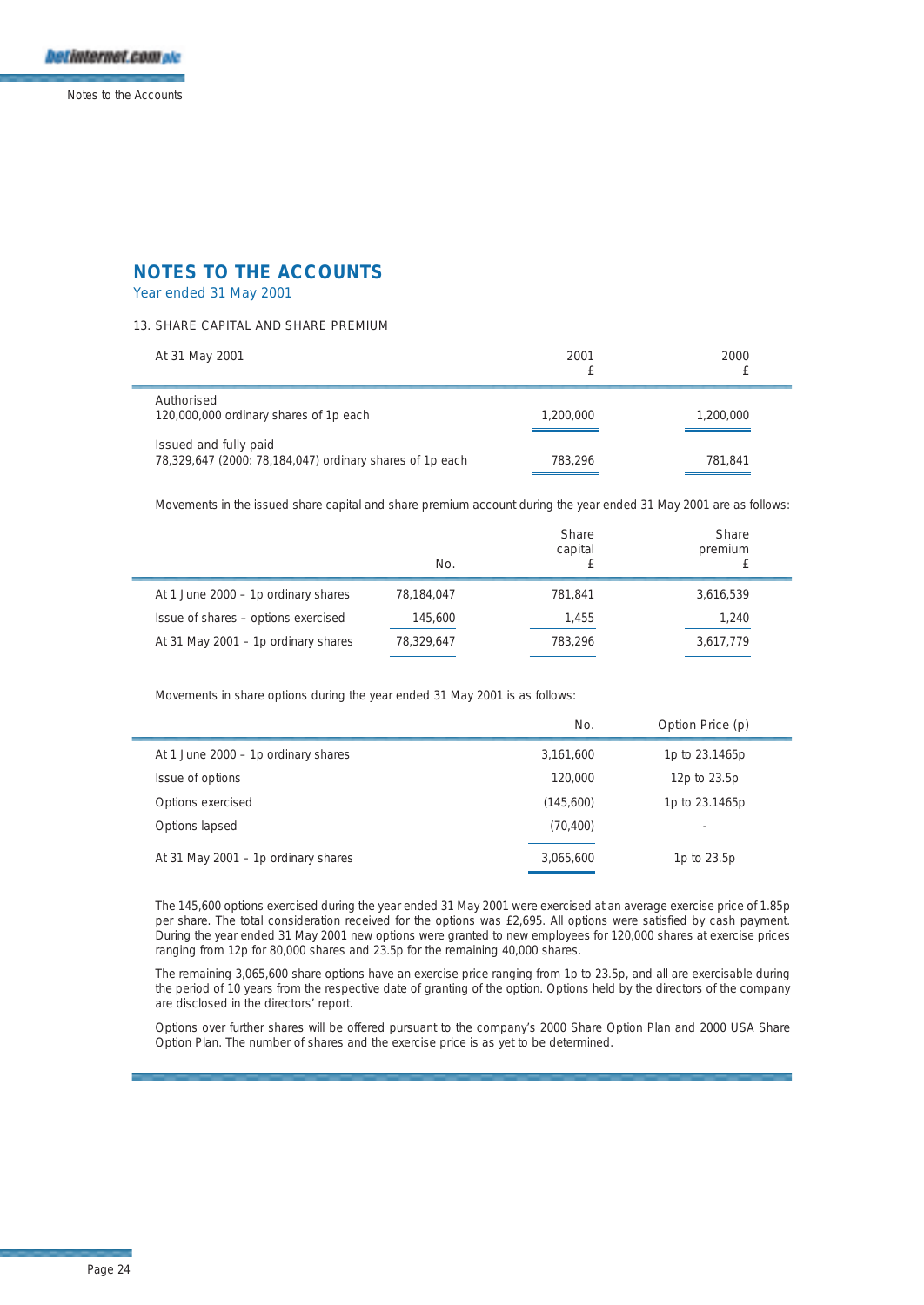

## Year ended 31 May 2001

## 13. SHARE CAPITAL AND SHARE PREMIUM

| At 31 May 2001                                                                    | 2001      | 2000      |
|-----------------------------------------------------------------------------------|-----------|-----------|
| Authorised<br>120,000,000 ordinary shares of 1p each                              | 1,200,000 | 1,200,000 |
| Issued and fully paid<br>78,329,647 (2000: 78,184,047) ordinary shares of 1p each | 783.296   | 781.841   |

Movements in the issued share capital and share premium account during the year ended 31 May 2001 are as follows:

|                                     | No.        | Share<br>capital | <b>Share</b><br>premium |
|-------------------------------------|------------|------------------|-------------------------|
| At 1 June 2000 - 1p ordinary shares | 78,184,047 | 781.841          | 3,616,539               |
| Issue of shares - options exercised | 145.600    | 1,455            | 1,240                   |
| At 31 May 2001 - 1p ordinary shares | 78,329,647 | 783.296          | 3,617,779               |

Movements in share options during the year ended 31 May 2001 is as follows:

|                                     | No.       | Option Price (p) |
|-------------------------------------|-----------|------------------|
| At 1 June 2000 - 1p ordinary shares | 3,161,600 | 1p to 23.1465p   |
| Issue of options                    | 120,000   | 12p to 23.5p     |
| Options exercised                   | (145,600) | 1p to 23.1465p   |
| Options lapsed                      | (70, 400) | ٠                |
| At 31 May 2001 - 1p ordinary shares | 3.065.600 | 1p to 23.5p      |

The 145,600 options exercised during the year ended 31 May 2001 were exercised at an average exercise price of 1.85p per share. The total consideration received for the options was £2,695. All options were satisfied by cash payment. During the year ended 31 May 2001 new options were granted to new employees for 120,000 shares at exercise prices ranging from 12p for 80,000 shares and 23.5p for the remaining 40,000 shares.

The remaining 3,065,600 share options have an exercise price ranging from 1p to 23.5p, and all are exercisable during the period of 10 years from the respective date of granting of the option. Options held by the directors of the company are disclosed in the directors' report.

Options over further shares will be offered pursuant to the company's 2000 Share Option Plan and 2000 USA Share Option Plan. The number of shares and the exercise price is as yet to be determined.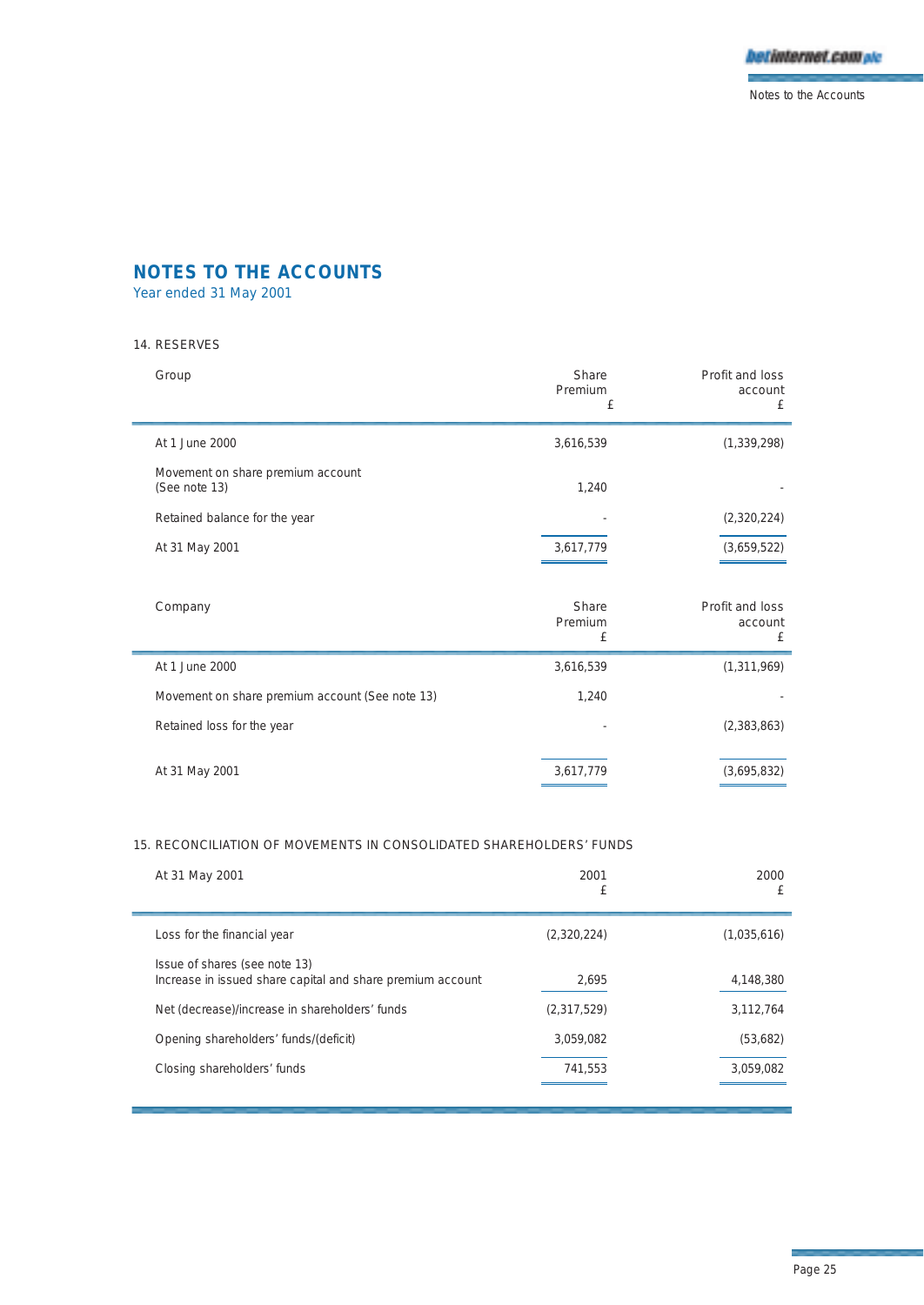

Year ended 31 May 2001

## 14. RESERVES

| Group                                              | Share<br>Premium<br>£ | Profit and loss<br>account<br>£ |
|----------------------------------------------------|-----------------------|---------------------------------|
| At 1.June 2000                                     | 3,616,539             | (1, 339, 298)                   |
| Movement on share premium account<br>(See note 13) | 1.240                 |                                 |
| Retained balance for the year                      |                       | (2,320,224)                     |
| At 31 May 2001                                     | 3,617,779             | (3,659,522)                     |

| Company                                         | Share<br>Premium<br>£ | Profit and loss<br>account<br>£ |
|-------------------------------------------------|-----------------------|---------------------------------|
| At 1 June 2000                                  | 3,616,539             | (1, 311, 969)                   |
| Movement on share premium account (See note 13) | 1,240                 |                                 |
| Retained loss for the year                      |                       | (2,383,863)                     |
| At 31 May 2001                                  | 3,617,779             | (3,695,832)                     |

## 15. RECONCILIATION OF MOVEMENTS IN CONSOLIDATED SHAREHOLDERS' FUNDS

| At 31 May 2001                                                                              | 2001<br>£   | 2000<br>£   |
|---------------------------------------------------------------------------------------------|-------------|-------------|
| Loss for the financial year                                                                 | (2,320,224) | (1,035,616) |
| Issue of shares (see note 13)<br>Increase in issued share capital and share premium account | 2.695       | 4,148,380   |
| Net (decrease)/increase in shareholders' funds                                              | (2,317,529) | 3.112.764   |
| Opening shareholders' funds/(deficit)                                                       | 3.059.082   | (53,682)    |
| Closing shareholders' funds                                                                 | 741,553     | 3,059,082   |
|                                                                                             |             |             |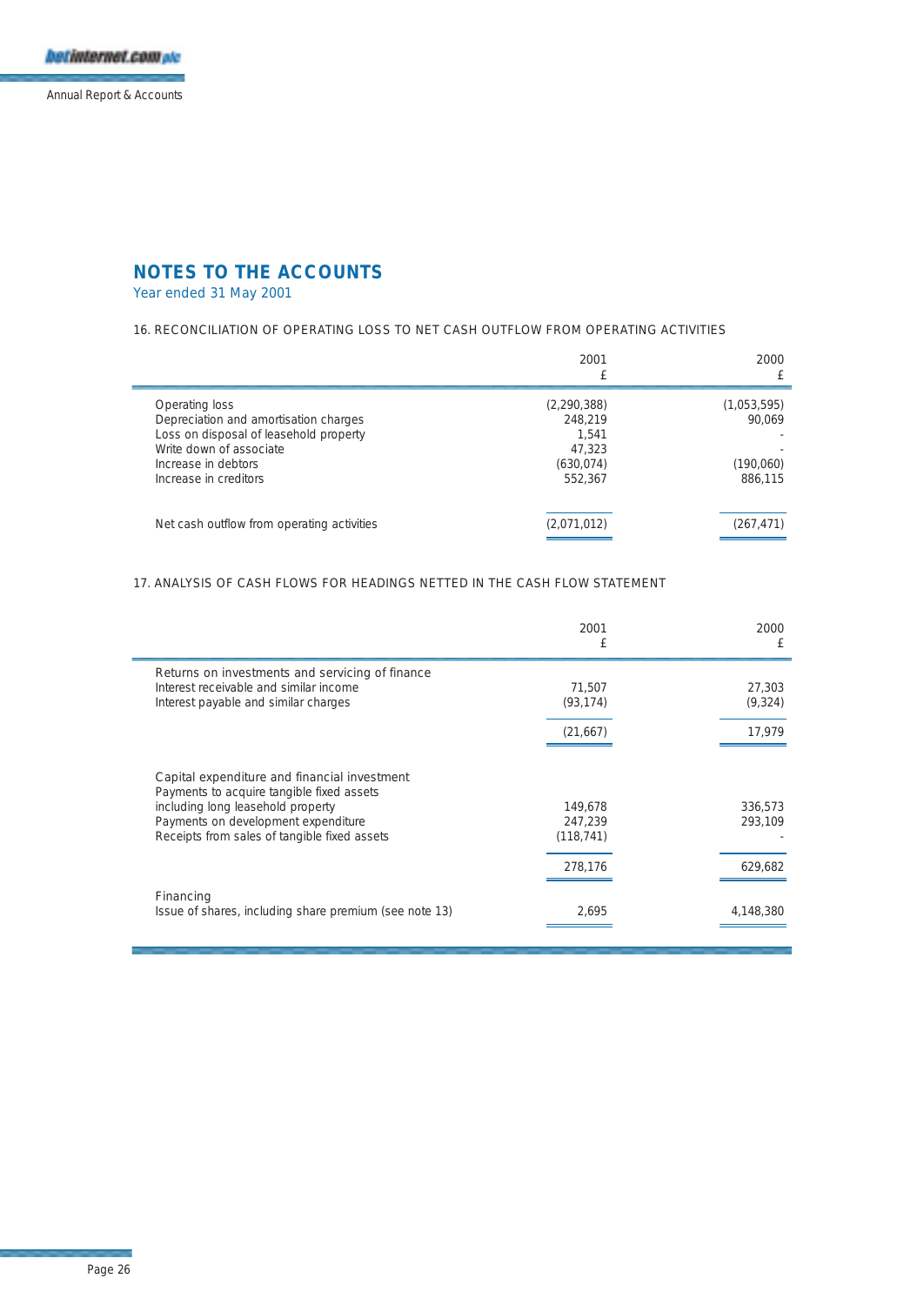

Year ended 31 May 2001

## 16. RECONCILIATION OF OPERATING LOSS TO NET CASH OUTFLOW FROM OPERATING ACTIVITIES

| 2001        | 2000          |
|-------------|---------------|
|             | (1,053,595)   |
| 248.219     | 90.069        |
| 1.541       |               |
| 47.323      |               |
| (630, 074)  | (190,060)     |
| 552.367     | 886.115       |
| (2,071,012) | (267, 471)    |
|             | (2, 290, 388) |

## 17. ANALYSIS OF CASH FLOWS FOR HEADINGS NETTED IN THE CASH FLOW STATEMENT

|                                                                                                                                                                                                                       | 2001<br>£                                   | 2000<br>£                     |
|-----------------------------------------------------------------------------------------------------------------------------------------------------------------------------------------------------------------------|---------------------------------------------|-------------------------------|
| Returns on investments and servicing of finance<br>Interest receivable and similar income<br>Interest payable and similar charges                                                                                     | 71.507<br>(93, 174)                         | 27,303<br>(9,324)             |
|                                                                                                                                                                                                                       | (21,667)                                    | 17,979                        |
| Capital expenditure and financial investment<br>Payments to acquire tangible fixed assets<br>including long leasehold property<br>Payments on development expenditure<br>Receipts from sales of tangible fixed assets | 149,678<br>247.239<br>(118, 741)<br>278.176 | 336,573<br>293.109<br>629,682 |
| Financing<br>Issue of shares, including share premium (see note 13)                                                                                                                                                   | 2,695                                       | 4,148,380                     |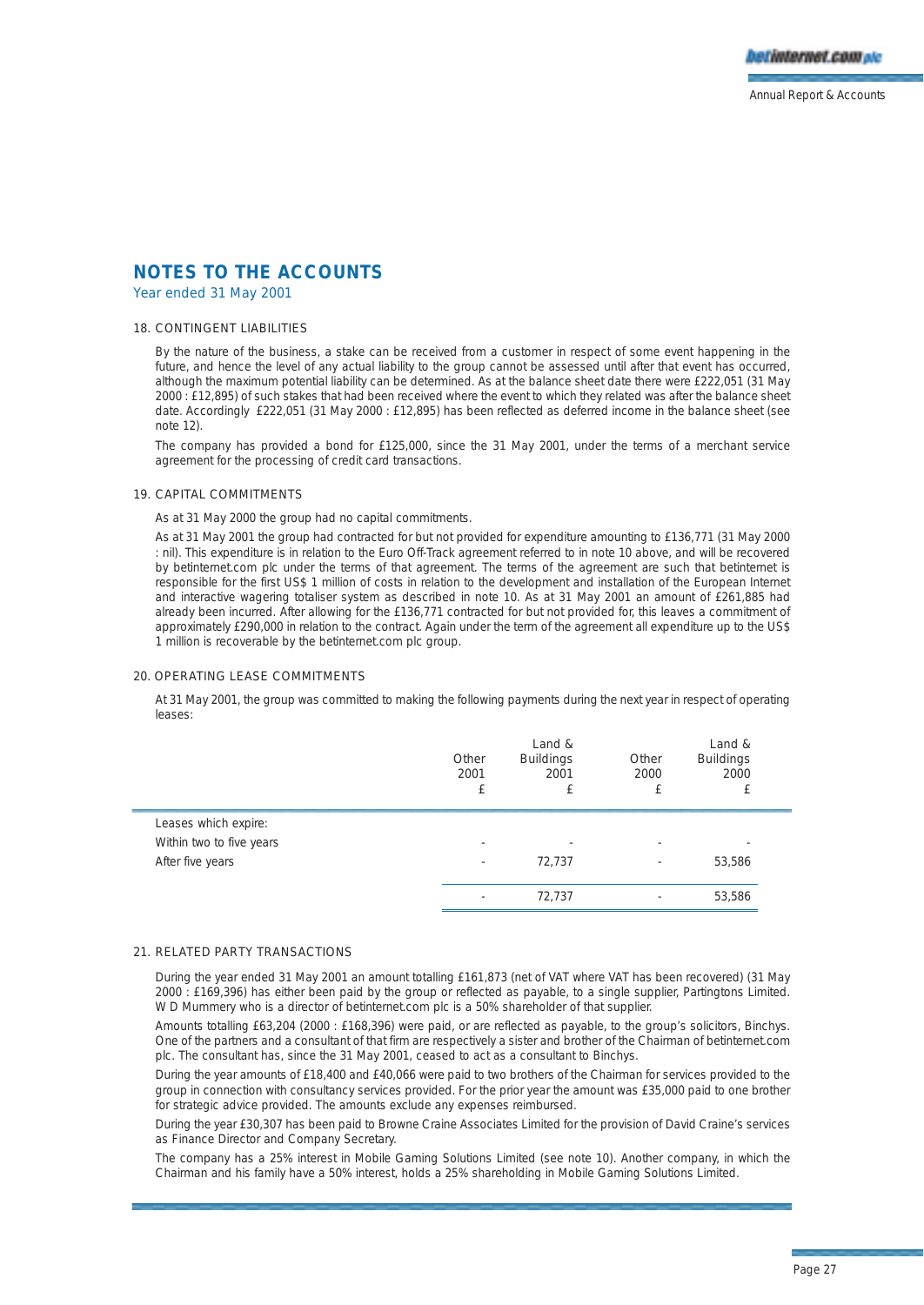Year ended 31 May 2001

### 18. CONTINGENT LIABILITIES

By the nature of the business, a stake can be received from a customer in respect of some event happening in the future, and hence the level of any actual liability to the group cannot be assessed until after that event has occurred, although the maximum potential liability can be determined. As at the balance sheet date there were £222,051 (31 May 2000 : £12,895) of such stakes that had been received where the event to which they related was after the balance sheet date. Accordingly £222,051 (31 May 2000 : £12,895) has been reflected as deferred income in the balance sheet (see note 12)

The company has provided a bond for £125,000, since the 31 May 2001, under the terms of a merchant service agreement for the processing of credit card transactions.

#### 19. CAPITAL COMMITMENTS

As at 31 May 2000 the group had no capital commitments.

As at 31 May 2001 the group had contracted for but not provided for expenditure amounting to £136,771 (31 May 2000 : nil). This expenditure is in relation to the Euro Off-Track agreement referred to in note 10 above, and will be recovered by betinternet.com plc under the terms of that agreement. The terms of the agreement are such that betinternet is responsible for the first US\$ 1 million of costs in relation to the development and installation of the European Internet and interactive wagering totaliser system as described in note 10. As at 31 May 2001 an amount of £261,885 had already been incurred. After allowing for the £136,771 contracted for but not provided for, this leaves a commitment of approximately £290,000 in relation to the contract. Again under the term of the agreement all expenditure up to the US\$ 1 million is recoverable by the betinternet.com plc group.

#### 20. OPERATING LEASE COMMITMENTS

At 31 May 2001, the group was committed to making the following payments during the next year in respect of operating leases:

|                          | Other<br>2001 | Land &<br><b>Buildings</b><br>2001 | Other<br>2000            | Land &<br><b>Buildings</b><br>2000<br>£ |  |
|--------------------------|---------------|------------------------------------|--------------------------|-----------------------------------------|--|
| Leases which expire:     |               |                                    |                          |                                         |  |
| Within two to five years | ۰             |                                    |                          |                                         |  |
| After five years         | ۰             | 72,737                             | $\overline{\phantom{a}}$ | 53,586                                  |  |
|                          |               | 72.737                             |                          | 53,586                                  |  |

#### 21. RELATED PARTY TRANSACTIONS

During the year ended 31 May 2001 an amount totalling £161,873 (net of VAT where VAT has been recovered) (31 May 2000 : £169,396) has either been paid by the group or reflected as payable, to a single supplier, Partingtons Limited. W D Mummery who is a director of betinternet.com plc is a 50% shareholder of that supplier.

Amounts totalling £63,204 (2000 : £168,396) were paid, or are reflected as payable, to the group's solicitors, Binchys. One of the partners and a consultant of that firm are respectively a sister and brother of the Chairman of betinternet.com plc. The consultant has, since the 31 May 2001, ceased to act as a consultant to Binchys.

During the year amounts of £18,400 and £40,066 were paid to two brothers of the Chairman for services provided to the group in connection with consultancy services provided. For the prior year the amount was £35,000 paid to one brother for strategic advice provided. The amounts exclude any expenses reimbursed.

During the year £30,307 has been paid to Browne Craine Associates Limited for the provision of David Craine's services as Finance Director and Company Secretary.

The company has a 25% interest in Mobile Gaming Solutions Limited (see note 10). Another company, in which the Chairman and his family have a 50% interest, holds a 25% shareholding in Mobile Gaming Solutions Limited.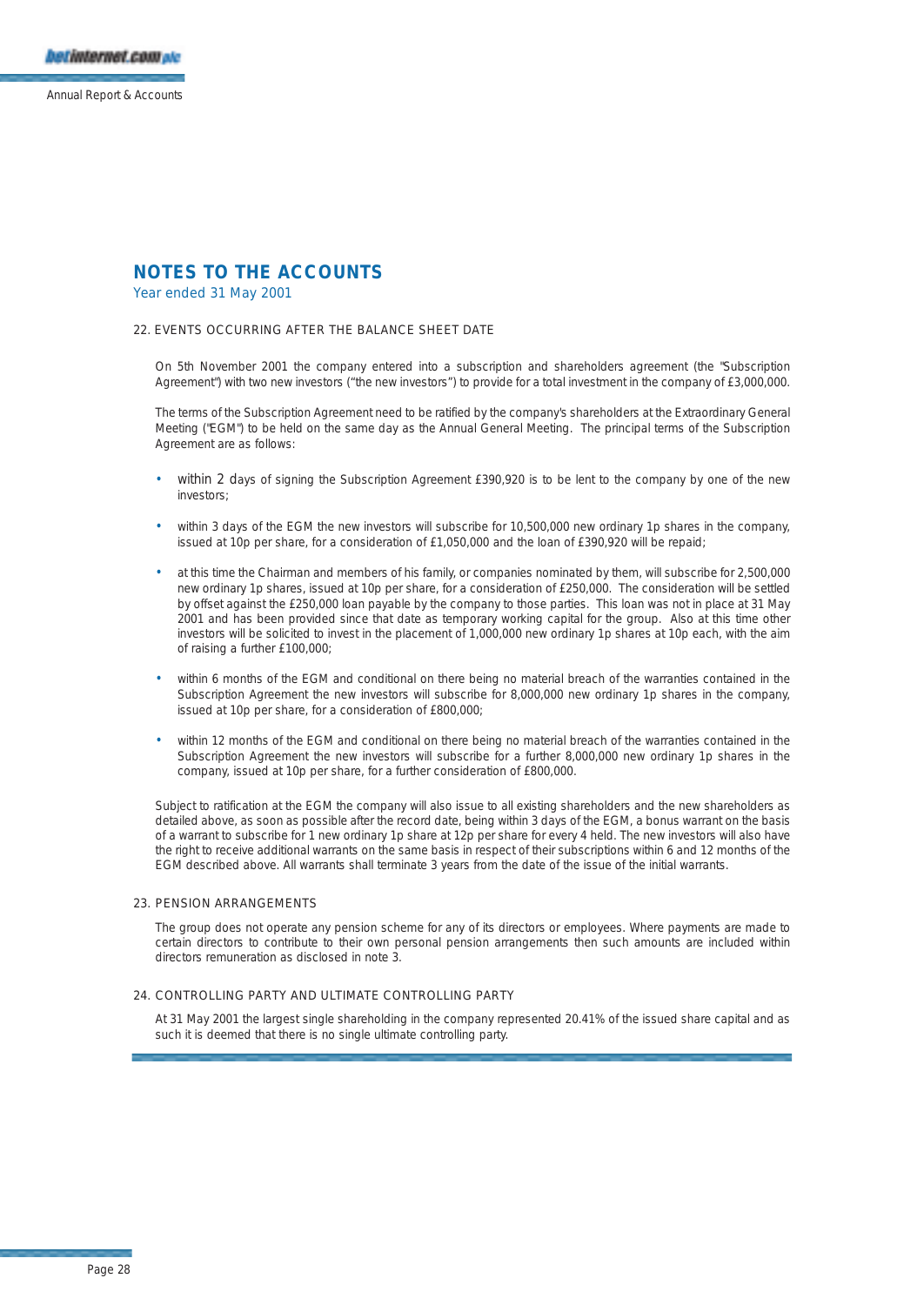## Year ended 31 May 2001

#### 22. EVENTS OCCURRING AFTER THE BALANCE SHEET DATE

On 5th November 2001 the company entered into a subscription and shareholders agreement (the "Subscription Agreement") with two new investors ("the new investors") to provide for a total investment in the company of £3,000,000.

The terms of the Subscription Agreement need to be ratified by the company's shareholders at the Extraordinary General Meeting ("EGM") to be held on the same day as the Annual General Meeting. The principal terms of the Subscription Agreement are as follows:

- within 2 days of signing the Subscription Agreement £390,920 is to be lent to the company by one of the new investors;
- within 3 days of the EGM the new investors will subscribe for 10,500,000 new ordinary 1p shares in the company, issued at 10p per share, for a consideration of £1,050,000 and the loan of £390,920 will be repaid;
- at this time the Chairman and members of his family, or companies nominated by them, will subscribe for 2,500,000 new ordinary 1p shares, issued at 10p per share, for a consideration of £250,000. The consideration will be settled by offset against the £250,000 loan payable by the company to those parties. This loan was not in place at 31 May 2001 and has been provided since that date as temporary working capital for the group. Also at this time other investors will be solicited to invest in the placement of 1,000,000 new ordinary 1p shares at 10p each, with the aim of raising a further £100,000;
- within 6 months of the EGM and conditional on there being no material breach of the warranties contained in the Subscription Agreement the new investors will subscribe for 8,000,000 new ordinary 1p shares in the company, issued at 10p per share, for a consideration of £800,000;
- within 12 months of the EGM and conditional on there being no material breach of the warranties contained in the Subscription Agreement the new investors will subscribe for a further 8,000,000 new ordinary 1p shares in the company, issued at 10p per share, for a further consideration of £800,000.

Subject to ratification at the EGM the company will also issue to all existing shareholders and the new shareholders as detailed above, as soon as possible after the record date, being within 3 days of the EGM, a bonus warrant on the basis of a warrant to subscribe for 1 new ordinary 1p share at 12p per share for every 4 held. The new investors will also have the right to receive additional warrants on the same basis in respect of their subscriptions within 6 and 12 months of the EGM described above. All warrants shall terminate 3 years from the date of the issue of the initial warrants.

#### 23. PENSION ARRANGEMENTS

The group does not operate any pension scheme for any of its directors or employees. Where payments are made to certain directors to contribute to their own personal pension arrangements then such amounts are included within directors remuneration as disclosed in note 3.

#### 24. CONTROLLING PARTY AND ULTIMATE CONTROLLING PARTY

At 31 May 2001 the largest single shareholding in the company represented 20.41% of the issued share capital and as such it is deemed that there is no single ultimate controlling party.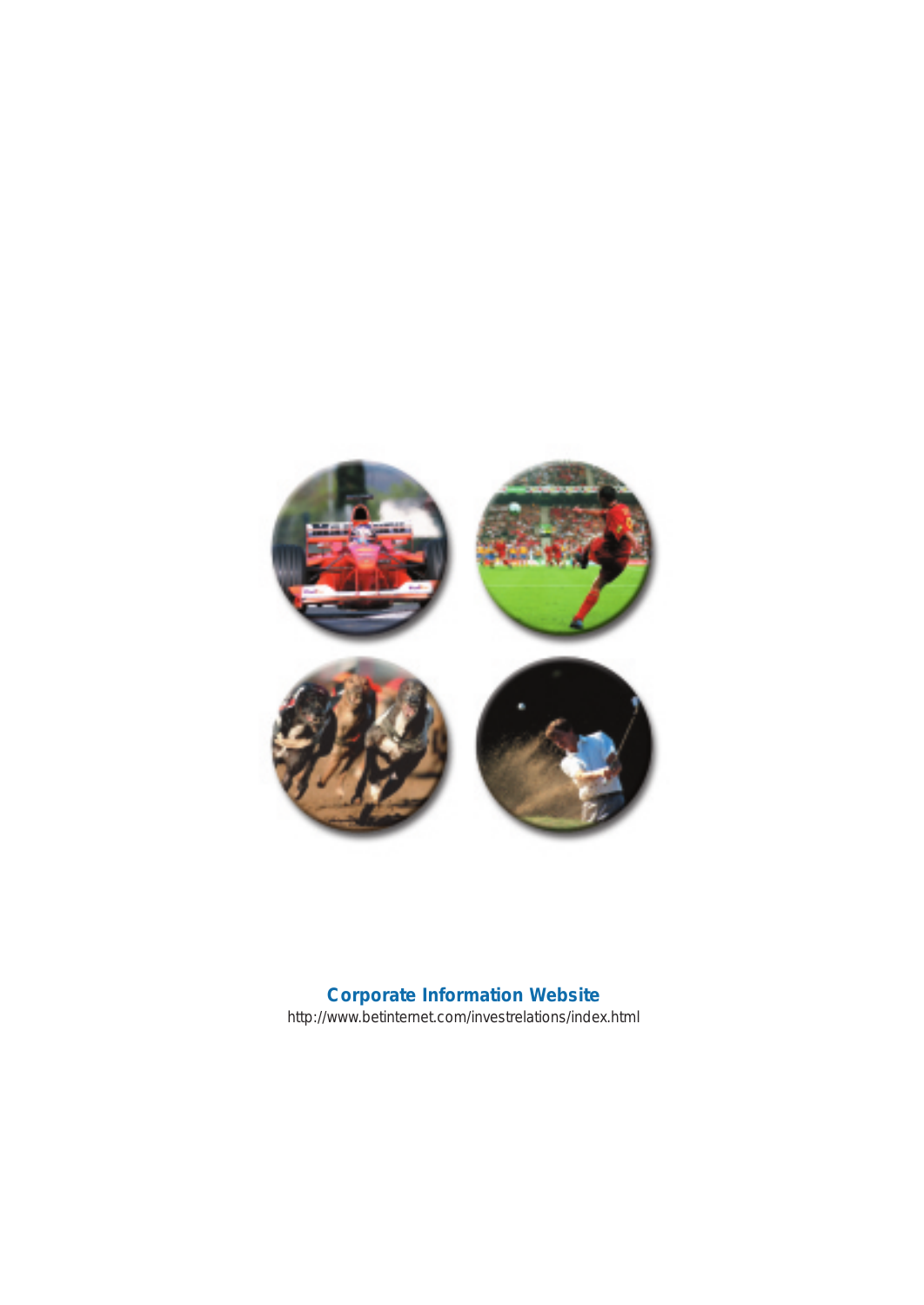

## **Corporate Information Website** http://www.betinternet.com/investrelations/index.html